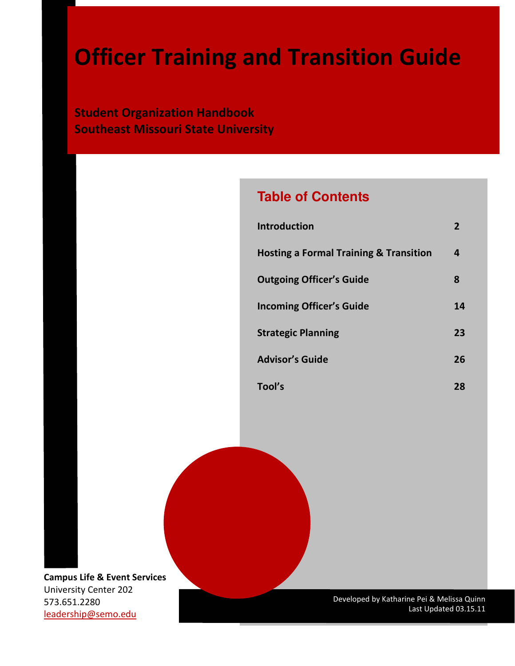Student Organization Handbook Southeast Missouri State University

# **Table of Contents**

| <b>Introduction</b>                               | 2  |
|---------------------------------------------------|----|
| <b>Hosting a Formal Training &amp; Transition</b> | 4  |
| <b>Outgoing Officer's Guide</b>                   | 8  |
| <b>Incoming Officer's Guide</b>                   | 14 |
| <b>Strategic Planning</b>                         | 23 |
| <b>Advisor's Guide</b>                            | 26 |
| Tool's                                            | 28 |

Campus Life & Event Services University Center 202 573.651.2280 leadership@semo.edu

Developed by Katharine Pei & Melissa Quinn Last Updated 03.15.11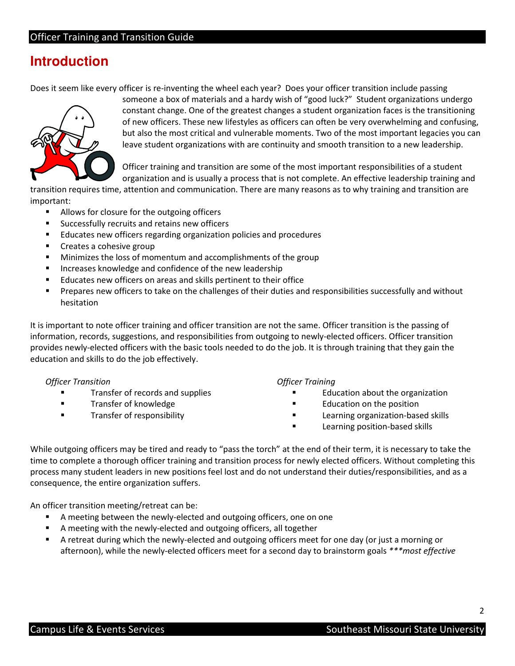# **Introduction**

Does it seem like every officer is re-inventing the wheel each year? Does your officer transition include passing



 someone a box of materials and a hardy wish of "good luck?" Student organizations undergo constant change. One of the greatest changes a student organization faces is the transitioning of new officers. These new lifestyles as officers can often be very overwhelming and confusing, but also the most critical and vulnerable moments. Two of the most important legacies you can leave student organizations with are continuity and smooth transition to a new leadership.

 Officer training and transition are some of the most important responsibilities of a student organization and is usually a process that is not complete. An effective leadership training and

 transition requires time, attention and communication. There are many reasons as to why training and transition are important:

- **Allows for closure for the outgoing officers**
- **Successfully recruits and retains new officers**
- **Educates new officers regarding organization policies and procedures**
- **Creates a cohesive group**
- **Minimizes the loss of momentum and accomplishments of the group**
- **Increases knowledge and confidence of the new leadership**
- **Educates new officers on areas and skills pertinent to their office**
- **Prepares new officers to take on the challenges of their duties and responsibilities successfully and without** hesitation

 It is important to note officer training and officer transition are not the same. Officer transition is the passing of information, records, suggestions, and responsibilities from outgoing to newly-elected officers. Officer transition provides newly-elected officers with the basic tools needed to do the job. It is through training that they gain the education and skills to do the job effectively.

#### Officer Transition Officer Training

- Transfer of records and supplies **Transfer of records and supplies EDUCATE:** Transfer of records and supplies
- Transfer of knowledge
- Transfer of responsibility

#### **Officer Training**

- 
- **Transfer of knowledge EDUCATE CONCORDING THE Education on the position**
- Transfer of responsibility Learning organization-based skills
	- **Example 2** Learning position-based skills

 While outgoing officers may be tired and ready to "pass the torch" at the end of their term, it is necessary to take the time to complete a thorough officer training and transition process for newly elected officers. Without completing this process many student leaders in new positions feel lost and do not understand their duties/responsibilities, and as a consequence, the entire organization suffers.

An officer transition meeting/retreat can be:

- A meeting between the newly-elected and outgoing officers, one on one
- A meeting with the newly-elected and outgoing officers, all together
- A retreat during which the newly-elected and outgoing officers meet for one day (or just a morning or afternoon), while the newly-elected officers meet for a second day to brainstorm goals \*\*\*most effective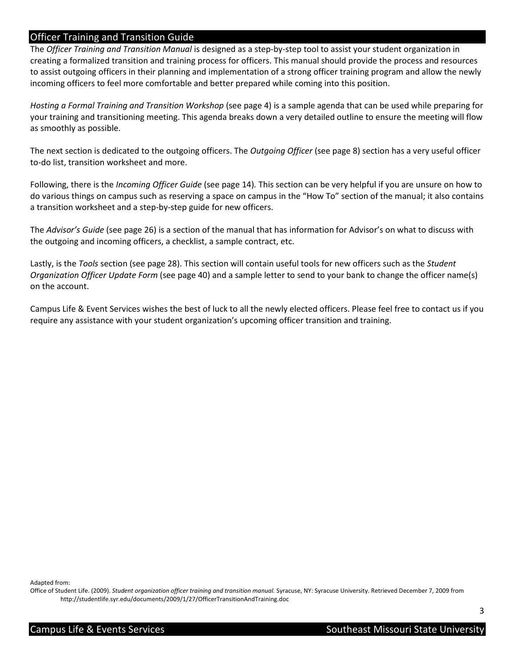The Officer Training and Transition Manual is designed as a step-by-step tool to assist your student organization in creating a formalized transition and training process for officers. This manual should provide the process and resources to assist outgoing officers in their planning and implementation of a strong officer training program and allow the newly incoming officers to feel more comfortable and better prepared while coming into this position.

Hosting a Formal Training and Transition Workshop (see page 4) is a sample agenda that can be used while preparing for your training and transitioning meeting. This agenda breaks down a very detailed outline to ensure the meeting will flow as smoothly as possible.

The next section is dedicated to the outgoing officers. The Outgoing Officer (see page 8) section has a very useful officer to-do list, transition worksheet and more.

Following, there is the Incoming Officer Guide (see page 14). This section can be very helpful if you are unsure on how to do various things on campus such as reserving a space on campus in the "How To" section of the manual; it also contains a transition worksheet and a step-by-step guide for new officers.

The Advisor's Guide (see page 26) is a section of the manual that has information for Advisor's on what to discuss with the outgoing and incoming officers, a checklist, a sample contract, etc.

Lastly, is the Tools section (see page 28). This section will contain useful tools for new officers such as the Student Organization Officer Update Form (see page 40) and a sample letter to send to your bank to change the officer name(s) on the account.

 Campus Life & Event Services wishes the best of luck to all the newly elected officers. Please feel free to contact us if you require any assistance with your student organization's upcoming officer transition and training.

Adapted from:

Office of Student Life. (2009). Student organization officer training and transition manual. Syracuse, NY: Syracuse University. Retrieved December 7, 2009 from <http://studentlife.syr.edu/documents/2009/1/27/OfficerTransitionAndTraining.doc>

3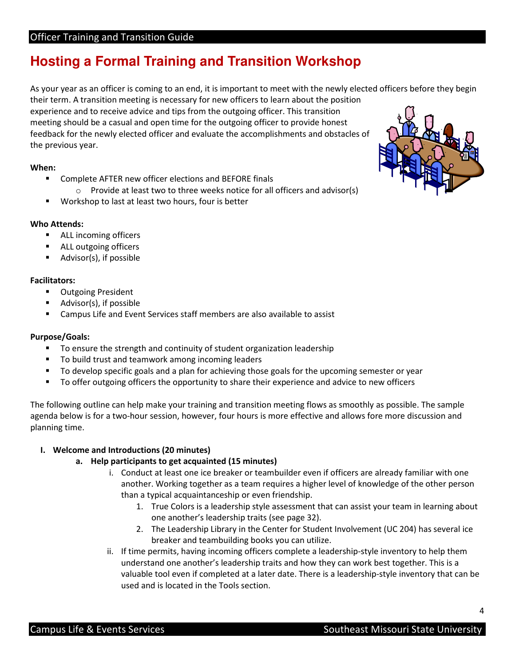# **Hosting a Formal Training and Transition Workshop**

As your year as an officer is coming to an end, it is important to meet with the newly elected officers before they begin their term. A transition meeting is necessary for new officers to learn about the position experience and to receive advice and tips from the outgoing officer. This transition meeting should be a casual and open time for the outgoing officer to provide honest feedback for the newly elected officer and evaluate the accomplishments and obstacles of the previous year.

#### When:

- **Complete AFTER new officer elections and BEFORE finals**
- $\circ$  Provide at least two to three weeks notice for all officers and advisor(s)
- **Workshop to last at least two hours, four is better**

#### Who Attends:

- **ALL incoming officers**
- **ALL outgoing officers**
- **Advisor(s), if possible**

#### Facilitators:

- **Dutgoing President**
- Advisor(s), if possible
- **EXEC** Campus Life and Event Services staff members are also available to assist

### Purpose/Goals:

- To ensure the strength and continuity of student organization leadership
- To build trust and teamwork among incoming leaders
- To develop specific goals and a plan for achieving those goals for the upcoming semester or year
- To offer outgoing officers the opportunity to share their experience and advice to new officers

 The following outline can help make your training and transition meeting flows as smoothly as possible. The sample agenda below is for a two-hour session, however, four hours is more effective and allows fore more discussion and planning time.

## I. Welcome and Introductions (20 minutes)

## a. Help participants to get acquainted (15 minutes)

- i. Conduct at least one ice breaker or teambuilder even if officers are already familiar with one another. Working together as a team requires a higher level of knowledge of the other person than a typical acquaintanceship or even friendship.
	- 1. True Colors is a leadership style assessment that can assist your team in learning about one another's leadership traits (see page 32).
	- 2. The Leadership Library in the Center for Student Involvement (UC 204) has several ice breaker and teambuilding books you can utilize.
- ii. If time permits, having incoming officers complete a leadership-style inventory to help them understand one another's leadership traits and how they can work best together. This is a valuable tool even if completed at a later date. There is a leadership-style inventory that can be used and is located in the Tools section.

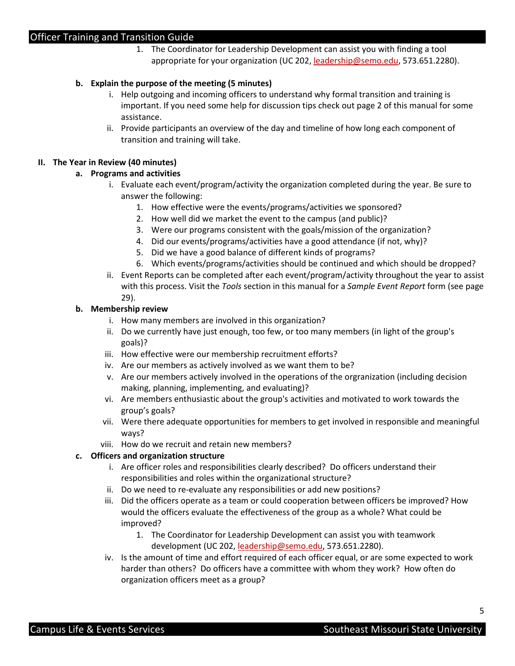1. The Coordinator for Leadership Development can assist you with finding a tool appropriate for your organization (UC 202, leadership@semo.edu, 573.651.2280).

#### b. Explain the purpose of the meeting (5 minutes)

- i. Help outgoing and incoming officers to understand why formal transition and training is important. If you need some help for discussion tips check out page 2 of this manual for some assistance.
- assistance.<br>ii. Provide participants an overview of the day and timeline of how long each component of transition and training will take.

#### II. The Year in Review (40 minutes)

#### a. Programs and activities

- i. Evaluate each event/program/activity the organization completed during the year. Be sure to answer the following:
	- 1. How effective were the events/programs/activities we sponsored?
	- 2. How well did we market the event to the campus (and public)?
	- 3. Were our programs consistent with the goals/mission of the organization?
	- 4. Did our events/programs/activities have a good attendance (if not, why)?
	- 5. Did we have a good balance of different kinds of programs?
	- 6. Which events/programs/activities should be continued and which should be dropped?
- ii. Event Reports can be completed after each event/program/activity throughout the year to assist with this process. Visit the Tools section in this manual for a Sample Event Report form (see page 29).

#### b. Membership review

- i. How many members are involved in this organization?
- ii. Do we currently have just enough, too few, or too many members (in light of the group's goals)?
- goals)? iii. How effective were our membership recruitment efforts?
- iv. Are our members as actively involved as we want them to be?
- v. Are our members actively involved in the operations of the orgranization (including decision making, planning, implementing, and evaluating)?
- vi. Are members enthusiastic about the group's activities and motivated to work towards the group's goals?
- vii. Were there adequate opportunities for members to get involved in responsible and meaningful ways?
- viii. How do we recruit and retain new members?

#### c. Officers and organization structure

- i. Are officer roles and responsibilities clearly described? Do officers understand their responsibilities and roles within the organizational structure?
- ii. Do we need to re-evaluate any responsibilities or add new positions?
- iii. Did the officers operate as a team or could cooperation between officers be improved? How would the officers evaluate the effectiveness of the group as a whole? What could be improved? improved? 1. The Coordinator for Leadership Development can assist you with teamwork
	- development (UC 202, leadership@semo.edu, 573.651.2280).
- iv. Is the amount of time and effort required of each officer equal, or are some expected to work harder than others? Do officers have a committee with whom they work? How often do organization officers meet as a group?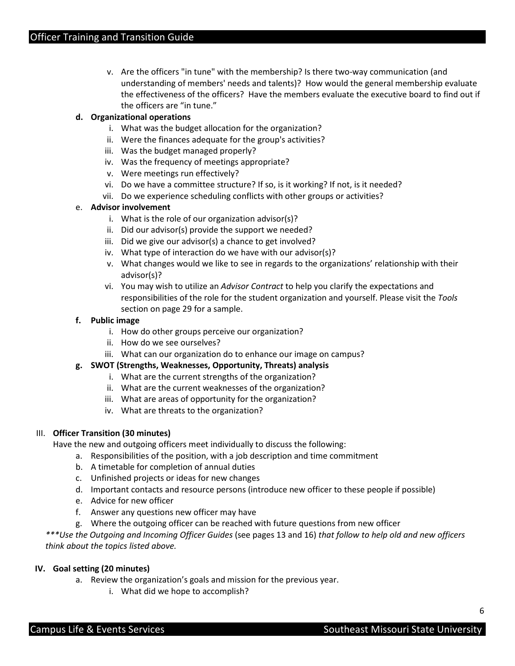v. Are the officers "in tune" with the membership? Is there two-way communication (and understanding of members' needs and talents)? How would the general membership evaluate the effectiveness of the officers? Have the members evaluate the executive board to find out if the officers are "in tune."

## d. Organizational operations

- i. What was the budget allocation for the organization?
- ii. Were the finances adequate for the group's activities?
- iii. Was the budget managed properly?
- iv. Was the frequency of meetings appropriate?
- v. Were meetings run effectively?
- vi. Do we have a committee structure? If so, is it working? If not, is it needed?
- vii. Do we experience scheduling conflicts with other groups or activities?

## e. Advisor involvement

- i. What is the role of our organization advisor(s)?
- ii. Did our advisor(s) provide the support we needed?
- iii. Did we give our advisor(s) a chance to get involved?
- iv. What type of interaction do we have with our advisor(s)?
- v. What changes would we like to see in regards to the organizations' relationship with their advisor(s)?
- vi. You may wish to utilize an Advisor Contract to help you clarify the expectations and responsibilities of the role for the student organization and yourself. Please visit the Tools section on page 29 for a sample.

## f. Public image

- i. How do other groups perceive our organization?
- ii. How do we see ourselves?
- iii. What can our organization do to enhance our image on campus?

## g. SWOT (Strengths, Weaknesses, Opportunity, Threats) analysis

- i. What are the current strengths of the organization?
- ii. What are the current weaknesses of the organization?
- iii. What are areas of opportunity for the organization?
- iv. What are threats to the organization?

#### III. Officer Transition (30 minutes)

Have the new and outgoing officers meet individually to discuss the following:

- a. Responsibilities of the position, with a job description and time commitment
- b. A timetable for completion of annual duties
- c. Unfinished projects or ideas for new changes
- d. Important contacts and resource persons (introduce new officer to these people if possible)
- e. Advice for new officer
- f. Answer any questions new officer may have
- g. Where the outgoing officer can be reached with future questions from new officer

 \*\*\*Use the Outgoing and Incoming Officer Guides (see pages 13 and 16) that follow to help old and new officers think about the topics listed above.

#### IV. Goal setting (20 minutes)

- a. Review the organization's goals and mission for the previous year.
	- i. What did we hope to accomplish?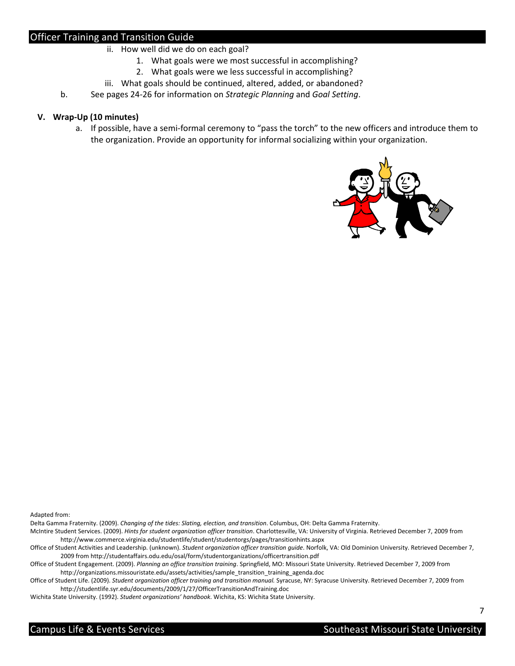- ii. How well did we do on each goal?
	- 1. What goals were we most successful in accomplishing?
	- 2. What goals were we less successful in accomplishing?
- iii. What goals should be continued, altered, added, or abandoned?
- b. See pages 24-26 for information on Strategic Planning and Goal Setting.

#### V. Wrap-Up (10 minutes)

 a. If possible, have a semi-formal ceremony to "pass the torch" to the new officers and introduce them to the organization. Provide an opportunity for informal socializing within your organization.



Adapted from:

Delta Gamma Fraternity. (2009). Changing of the tides: Slating, election, and transition. Columbus, OH: Delta Gamma Fraternity.

McIntire Student Services. (2009). Hints for student organization officer transition. Charlottesville, VA: University of Virginia. Retrieved December 7, 2009 from <http://www.commerce.virginia.edu/studentlife/student/studentorgs/pages/transitionhints.aspx>

Office of Student Activities and Leadership. (unknown). Student organization officer transition guide. Norfolk, VA: Old Dominion University. Retrieved December 7, 2009 from <http://studentaffairs.odu.edu/osal/form/studentorganizations/officertransition.pdf>

Office of Student Engagement. (2009). Planning an office transition training. Springfield, MO: Missouri State University. Retrieved December 7, 2009 from [http://organizations.missouristate.edu/assets/activities/sample\\_transition\\_training\\_agenda.doc](http://organizations.missouristate.edu/assets/activities/sample_transition_training_agenda.doc)

Office of Student Life. (2009). Student organization officer training and transition manual. Syracuse, NY: Syracuse University. Retrieved December 7, 2009 from <http://studentlife.syr.edu/documents/2009/1/27/OfficerTransitionAndTraining.doc>

Wichita State University. (1992). Student organizations' handbook. Wichita, KS: Wichita State University.

7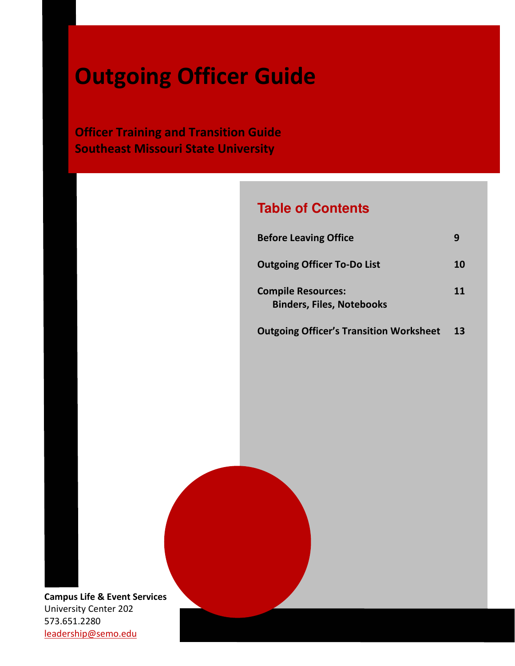# Outgoing Officer Guide

**Officer Training and Transition Guide** Southeast Missouri State University

# **Table of Contents**

| <b>Before Leaving Office</b>                                  |    |
|---------------------------------------------------------------|----|
| <b>Outgoing Officer To-Do List</b>                            | 10 |
| <b>Compile Resources:</b><br><b>Binders, Files, Notebooks</b> | 11 |

**Outgoing Officer's Transition Worksheet** 13

Campus Life & Event Services University Center 202 573.651.2280 leadership@semo.edu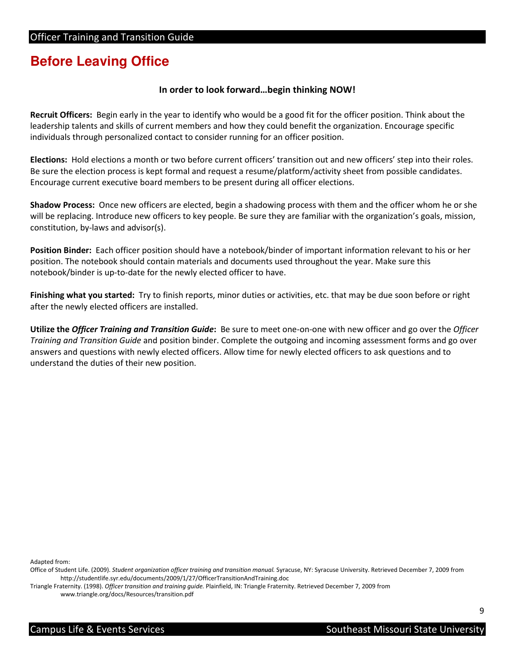# **Before Leaving Office**

## In order to look forward…begin thinking NOW!

Recruit Officers: Begin early in the year to identify who would be a good fit for the officer position. Think about the leadership talents and skills of current members and how they could benefit the organization. Encourage specific individuals through personalized contact to consider running for an officer position.

Elections: Hold elections a month or two before current officers' transition out and new officers' step into their roles. Be sure the election process is kept formal and request a resume/platform/activity sheet from possible candidates. Encourage current executive board members to be present during all officer elections.

Shadow Process: Once new officers are elected, begin a shadowing process with them and the officer whom he or she will be replacing. Introduce new officers to key people. Be sure they are familiar with the organization's goals, mission, constitution, by-laws and advisor(s).

Position Binder: Each officer position should have a notebook/binder of important information relevant to his or her position. The notebook should contain materials and documents used throughout the year. Make sure this notebook/binder is up-to-date for the newly elected officer to have.

Finishing what you started: Try to finish reports, minor duties or activities, etc. that may be due soon before or right after the newly elected officers are installed.

Utilize the Officer Training and Transition Guide: Be sure to meet one-on-one with new officer and go over the Officer Training and Transition Guide and position binder. Complete the outgoing and incoming assessment forms and go over answers and questions with newly elected officers. Allow time for newly elected officers to ask questions and to understand the duties of their new position.

Adapted from:

Triangle Fraternity. (1998). Officer transition and training guide. Plainfield, IN: Triangle Fraternity. Retrieved December 7, 2009 from <www.triangle.org/docs/Resources/transition.pdf>

Office of Student Life. (2009). Student organization officer training and transition manual. Syracuse, NY: Syracuse University. Retrieved December 7, 2009 from <http://studentlife.syr.edu/documents/2009/1/27/OfficerTransitionAndTraining.doc>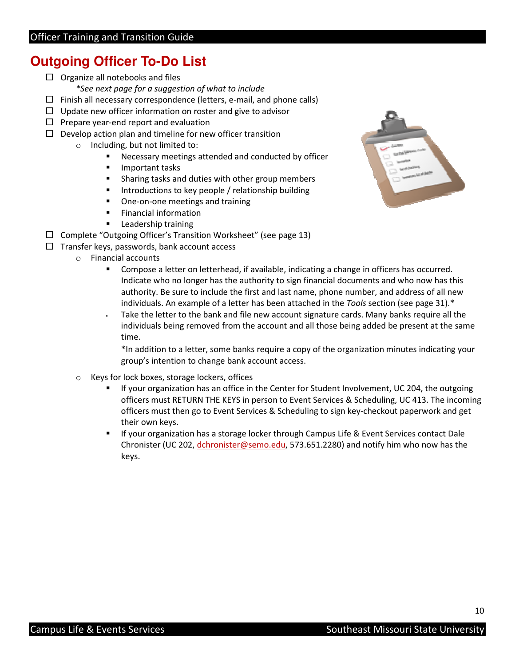# **Outgoing Officer To-Do List**

- □ Organize all notebooks and files \*See next page for a suggestion of what to include
- □ Finish all necessary correspondence (letters, e-mail, and phone calls)
- $\Box$  Update new officer information on roster and give to advisor
- $\Box$  Prepare year-end report and evaluation
- $\Box$  Develop action plan and timeline for new officer transition
	- o Including, but not limited to:
		- **Necessary meetings attended and conducted by officer**
		- **Important tasks**
		- **Sharing tasks and duties with other group members**
		- **IF Introductions to key people / relationship building**
		- **•** One-on-one meetings and training
		- **Financial information**
		- **Leadership training**
- □ Complete "Outgoing Officer's Transition Worksheet" (see page 13)
- □ Transfer keys, passwords, bank account access
	- o Financial accounts
		- **Compose a letter on letterhead, if available, indicating a change in officers has occurred.**  Indicate who no longer has the authority to sign financial documents and who now has this authority. Be sure to include the first and last name, phone number, and address of all new individuals. An example of a letter has been attached in the Tools section (see page 31). $*$
		- Take the letter to the bank and file new account signature cards. Many banks require all the individuals being removed from the account and all those being added be present at the same time.

 \*In addition to a letter, some banks require a copy of the organization minutes indicating your group's intention to change bank account access.

- o Keys for lock boxes, storage lockers, offices
	- **IF** If your organization has an office in the Center for Student Involvement, UC 204, the outgoing officers must RETURN THE KEYS in person to Event Services & Scheduling, UC 413. The incoming officers must then go to Event Services & Scheduling to sign key-checkout paperwork and get their own keys.
	- **If your organization has a storage locker through Campus Life & Event Services contact Dale** Chronister (UC 202, dchronister@semo.edu, 573.651.2280) and notify him who now has the keys.

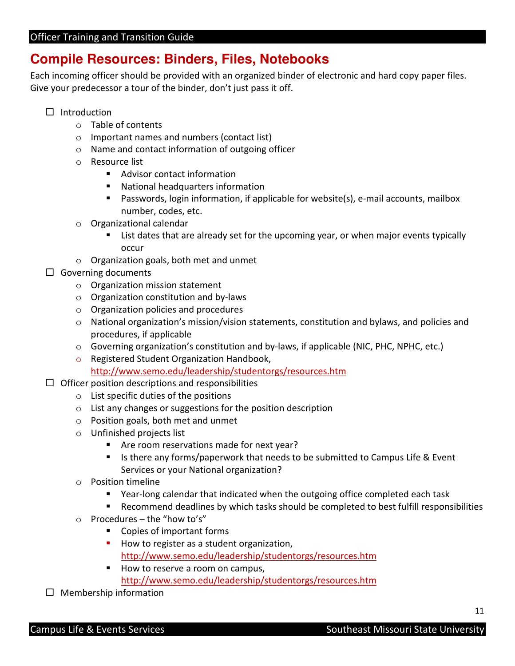# **Compile Resources: Binders, Files, Notebooks**

 Each incoming officer should be provided with an organized binder of electronic and hard copy paper files. Give your predecessor a tour of the binder, don't just pass it off.

- $\square$  Introduction
	- o Table of contents
	- o Important names and numbers (contact list)
	- o Name and contact information of outgoing officer
	- o Resource list
		- **Advisor contact information**
		- **National headquarters information**
		- Passwords, login information, if applicable for website(s), e-mail accounts, mailbox number, codes, etc.
	- o Organizational calendar
		- **EXT** List dates that are already set for the upcoming year, or when major events typically occur
	- $\circ$  Organization goals, both met and unmet
- □ Governing documents
	- o Organization mission statement
	- o Organization constitution and by-laws
	- o Organization policies and procedures
	- o National organization's mission/vision statements, constitution and bylaws, and policies and procedures, if applicable
	- o Governing organization's constitution and by-laws, if applicable (NIC, PHC, NPHC, etc.)
	- o Registered Student Organization Handbook, <http://www.semo.edu/leadership/studentorgs/resources.htm>
- $\Box$  Officer position descriptions and responsibilities
	- o List specific duties of the positions
	- $\circ$  List any changes or suggestions for the position description
	- o Position goals, both met and unmet
	- o Unfinished projects list
		- **Are room reservations made for next year?**
		- Is there any forms/paperwork that needs to be submitted to Campus Life & Event Services or your National organization?
	- o Position timeline
		- Year-long calendar that indicated when the outgoing office completed each task
		- Recommend deadlines by which tasks should be completed to best fulfill responsibilities
	- $\circ$  Procedures the "how to's"
		- **Copies of important forms**
		- How to register as a student organization, <http://www.semo.edu/leadership/studentorgs/resources.htm>
		- How to reserve a room on campus, <http://www.semo.edu/leadership/studentorgs/resources.htm>
- □ Membership information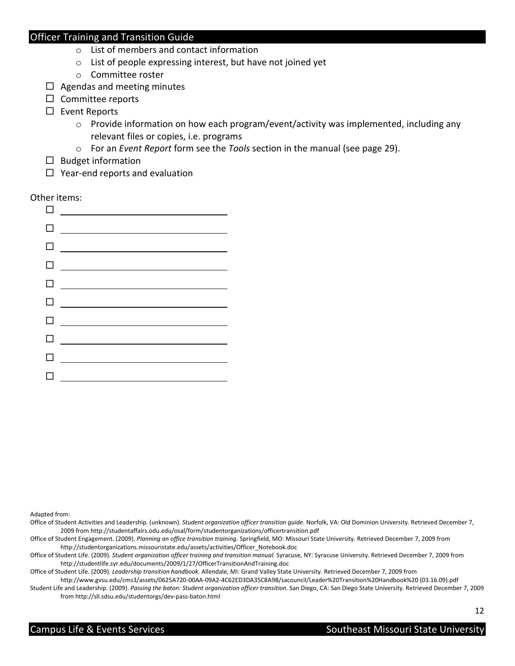- o List of members and contact information
- o List of people expressing interest, but have not joined yet
- o Committee roster
- $\Box$  Agendas and meeting minutes
- □ Committee reports
- □ Event Reports
	- o Provide information on how each program/event/activity was implemented, including any relevant files or copies, i.e. programs
	- o For an Event Report form see the Tools section in the manual (see page 29).
- □ Budget information
- $\Box$  Year-end reports and evaluation

Other items:

|   | 0 ______________                |
|---|---------------------------------|
|   |                                 |
|   | 0 ___________________________   |
|   | 0 ___________________________   |
|   | 0 ___________________           |
|   |                                 |
|   |                                 |
|   | 0 <u>______________________</u> |
|   |                                 |
| п |                                 |

Adapted from:

Office of Student Engagement. (2009). Planning an office transition training. Springfield, MO: Missouri State University. Retrieved December 7, 2009 from [http://studentorganizations.missouristate.edu/assets/activities/Officer\\_Notebook.doc](http://studentorganizations.missouristate.edu/assets/activities/Officer_Notebook.doc)

Office of Student Life. (2009). Student organization officer training and transition manual. Syracuse, NY: Syracuse University. Retrieved December 7, 2009 from <http://studentlife.syr.edu/documents/2009/1/27/OfficerTransitionAndTraining.doc>

Office of Student Life. (2009). Leadership transition handbook. Allendale, MI: Grand Valley State University. Retrieved December 7, 2009 from

Student Life and Leadership. (2009). Passing the baton: Student organization officer transition. San Diego, CA: San Diego State University. Retrieved December 7, 2009 [http://www.gvsu.edu/cms3/assets/0625A720-00AA-09A2-4C62ED3DA35C8A9B/sacouncil/Leader%20Transition%20Handbook%20 \(03.16.09\).pdf](http://www.gvsu.edu/cms3/assets/0625A720-00AA-09A2-4C62ED3DA35C8A9B/sacouncil/Leader%20Transition%20Handbook%20(03.16.09).pdf)

Office of Student Activities and Leadership. (unknown). Student organization officer transition guide. Norfolk, VA: Old Dominion University. Retrieved December 7, 2009 from <http://studentaffairs.odu.edu/osal/form/studentorganizations/officertransition.pdf>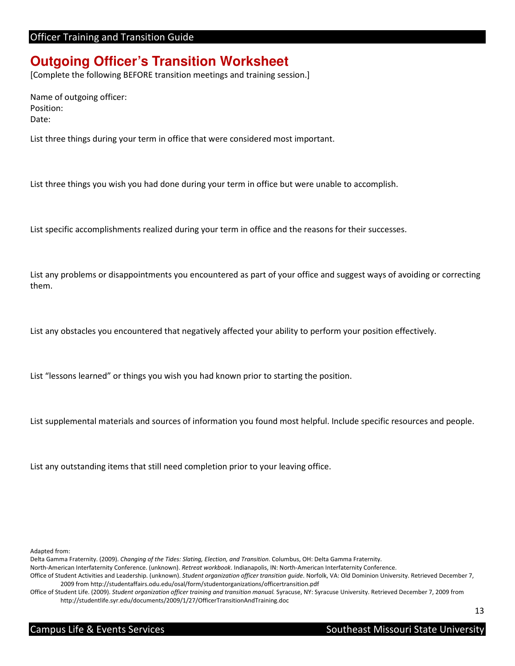# **Outgoing Officer's Transition Worksheet**

[Complete the following BEFORE transition meetings and training session.]

 Name of outgoing officer: Position: Date:

List three things during your term in office that were considered most important.

List three things you wish you had done during your term in office but were unable to accomplish.

List specific accomplishments realized during your term in office and the reasons for their successes.

 List any problems or disappointments you encountered as part of your office and suggest ways of avoiding or correcting them.

List any obstacles you encountered that negatively affected your ability to perform your position effectively.

List "lessons learned" or things you wish you had known prior to starting the position.

List supplemental materials and sources of information you found most helpful. Include specific resources and people.

List any outstanding items that still need completion prior to your leaving office.

Adapted from:

Delta Gamma Fraternity. (2009). Changing of the Tides: Slating, Election, and Transition. Columbus, OH: Delta Gamma Fraternity. North-American Interfaternity Conference. (unknown). Retreat workbook. Indianapolis, IN: North-American Interfaternity Conference. Office of Student Activities and Leadership. (unknown). Student organization officer transition guide. Norfolk, VA: Old Dominion University. Retrieved December 7, 2009 from <http://studentaffairs.odu.edu/osal/form/studentorganizations/officertransition.pdf>

Office of Student Life. (2009). Student organization officer training and transition manual. Syracuse, NY: Syracuse University. Retrieved December 7, 2009 from <http://studentlife.syr.edu/documents/2009/1/27/OfficerTransitionAndTraining.doc>

Southeast Missouri State University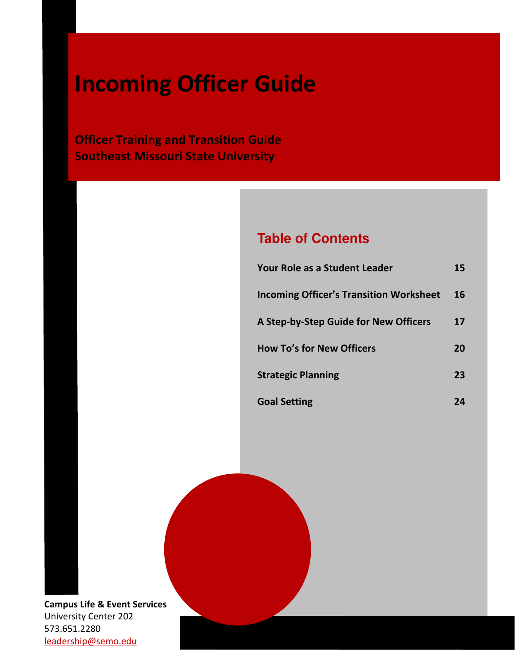# Incoming Officer Guide

**Officer Training and Transition Guide** Southeast Missouri State University

# **Table of Contents**

| Your Role as a Student Leader                  | 15 |
|------------------------------------------------|----|
| <b>Incoming Officer's Transition Worksheet</b> | 16 |
| A Step-by-Step Guide for New Officers          | 17 |
| <b>How To's for New Officers</b>               | 20 |
| <b>Strategic Planning</b>                      | 23 |
| <b>Goal Setting</b>                            | 24 |

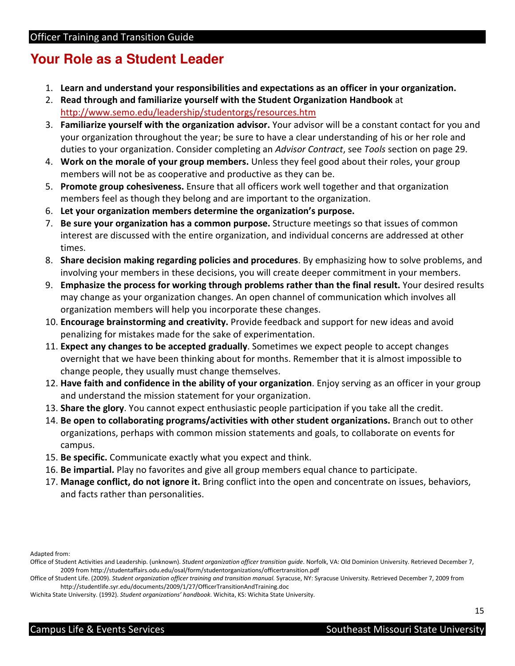# **Your Role as a Student Leader**

- 1. Learn and understand your responsibilities and expectations as an officer in your organization.
- 2. Read through and familiarize yourself with the Student Organization Handbook at <http://www.semo.edu/leadership/studentorgs/resources.htm>
- 3. Familiarize yourself with the organization advisor. Your advisor will be a constant contact for you and your organization throughout the year; be sure to have a clear understanding of his or her role and duties to your organization. Consider completing an Advisor Contract, see Tools section on page 29.
- 4. Work on the morale of your group members. Unless they feel good about their roles, your group members will not be as cooperative and productive as they can be.
- 5. Promote group cohesiveness. Ensure that all officers work well together and that organization members feel as though they belong and are important to the organization.
- 6. Let your organization members determine the organization's purpose.
- 7. Be sure your organization has a common purpose. Structure meetings so that issues of common interest are discussed with the entire organization, and individual concerns are addressed at other times.
- 8. Share decision making regarding policies and procedures. By emphasizing how to solve problems, and involving your members in these decisions, you will create deeper commitment in your members.
- 9. Emphasize the process for working through problems rather than the final result. Your desired results may change as your organization changes. An open channel of communication which involves all organization members will help you incorporate these changes.
- 10. Encourage brainstorming and creativity. Provide feedback and support for new ideas and avoid penalizing for mistakes made for the sake of experimentation.
- 11. Expect any changes to be accepted gradually. Sometimes we expect people to accept changes overnight that we have been thinking about for months. Remember that it is almost impossible to change people, they usually must change themselves.
- 12. Have faith and confidence in the ability of your organization. Enjoy serving as an officer in your group and understand the mission statement for your organization.
- 13. Share the glory. You cannot expect enthusiastic people participation if you take all the credit.
- 14. Be open to collaborating programs/activities with other student organizations. Branch out to other organizations, perhaps with common mission statements and goals, to collaborate on events for campus.
- campus.<br>15. Be specific. Communicate exactly what you expect and think.
- 16. Be impartial. Play no favorites and give all group members equal chance to participate.
- 17. Manage conflict, do not ignore it. Bring conflict into the open and concentrate on issues, behaviors, and facts rather than personalities.

Adapted from:

- Office of Student Activities and Leadership. (unknown). Student organization officer transition guide. Norfolk, VA: Old Dominion University. Retrieved December 7, 2009 from <http://studentaffairs.odu.edu/osal/form/studentorganizations/officertransition.pdf>
- Office of Student Life. (2009). Student organization officer training and transition manual. Syracuse, NY: Syracuse University. Retrieved December 7, 2009 from <http://studentlife.syr.edu/documents/2009/1/27/OfficerTransitionAndTraining.doc>

Wichita State University. (1992). Student organizations' handbook. Wichita, KS: Wichita State University.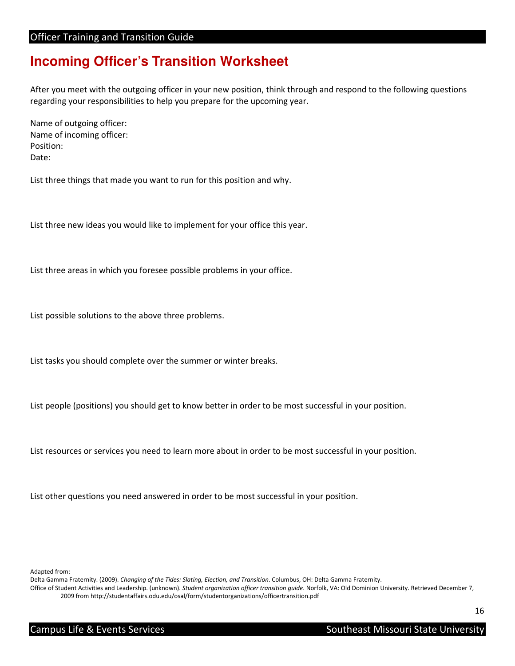# **Incoming Officer's Transition Worksheet**

 After you meet with the outgoing officer in your new position, think through and respond to the following questions regarding your responsibilities to help you prepare for the upcoming year.

 Name of outgoing officer: Name of incoming officer: Position: Date:

List three things that made you want to run for this position and why.

List three new ideas you would like to implement for your office this year.

List three areas in which you foresee possible problems in your office.

List possible solutions to the above three problems.

List tasks you should complete over the summer or winter breaks.

List people (positions) you should get to know better in order to be most successful in your position.

List resources or services you need to learn more about in order to be most successful in your position.

List other questions you need answered in order to be most successful in your position.

Adapted from:

Delta Gamma Fraternity. (2009). Changing of the Tides: Slating, Election, and Transition. Columbus, OH: Delta Gamma Fraternity.

Office of Student Activities and Leadership. (unknown). Student organization officer transition guide. Norfolk, VA: Old Dominion University. Retrieved December 7,

2009 from <http://studentaffairs.odu.edu/osal/form/studentorganizations/officertransition.pdf>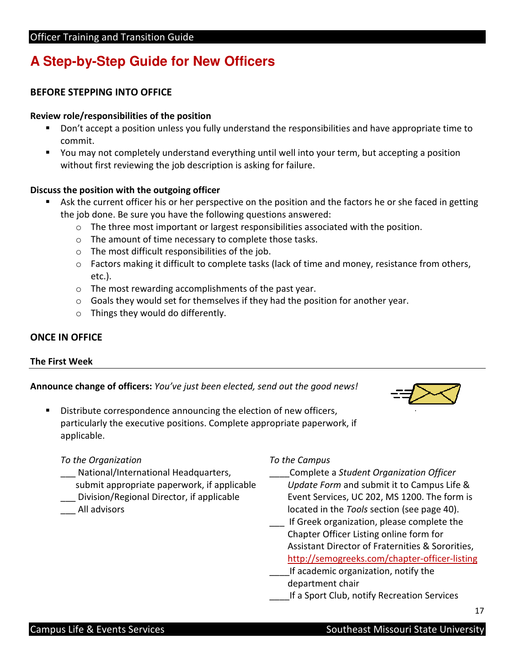# **A Step-by-Step Guide for New Officers**

# BEFORE STEPPING INTO OFFICE

## Review role/responsibilities of the position

- Don't accept a position unless you fully understand the responsibilities and have appropriate time to commit.
- You may not completely understand everything until well into your term, but accepting a position without first reviewing the job description is asking for failure.

## Discuss the position with the outgoing officer

- Ask the current officer his or her perspective on the position and the factors he or she faced in getting the job done. Be sure you have the following questions answered:
	- $\circ$  The three most important or largest responsibilities associated with the position.
	- o The amount of time necessary to complete those tasks.
	- $\circ$  The most difficult responsibilities of the job.
	- o Factors making it difficult to complete tasks (lack of time and money, resistance from others, etc.).
	- o The most rewarding accomplishments of the past year.
	- $\circ$  Goals they would set for themselves if they had the position for another year.
	- o Things they would do differently.

# ONCE IN OFFICE

#### The First Week

Announce change of officers: You've just been elected, send out the good news!



**Distribute correspondence announcing the election of new officers,**  particularly the executive positions. Complete appropriate paperwork, if applicable.

## To the Organization To the Campus

- National/International Headquarters,
- Division/Regional Director, if applicable
- All advisors

## To the Campus

- Complete a Student Organization Officer
- submit appropriate paperwork, if applicable Update Form and submit it to Campus Life & Update Form and submit it to Campus Life & \_\_\_ Division/Regional Director, if applicable Event Services, UC 202, MS 1200. The form is All advisors and a section of the Tools section (see page 40).
	- \_\_\_ If Greek organization, please complete the Chapter Officer Listing online form for Assistant Director of Fraternities & Sororities, http://semogreeks.com/chapter-officer-listing
	- **\_\_\_\_If academic organization, notify the** department chair
	- **\_\_\_\_If a Sport Club, notify Recreation Services**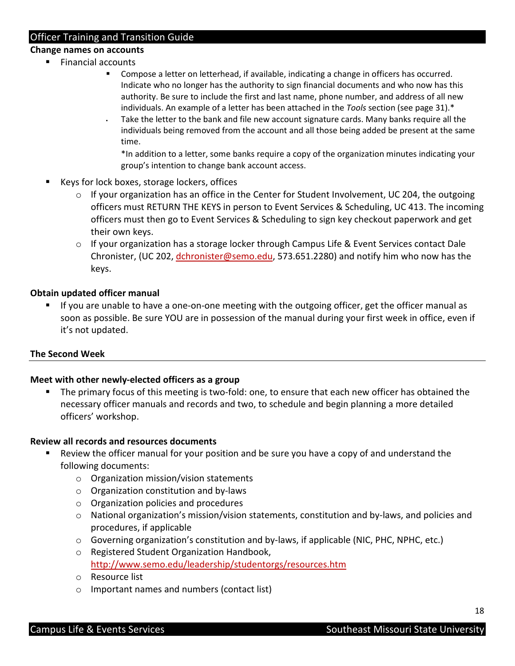## Change names on accounts

- Financial accounts
	- **Compose a letter on letterhead, if available, indicating a change in officers has occurred.**  Indicate who no longer has the authority to sign financial documents and who now has this authority. Be sure to include the first and last name, phone number, and address of all new individuals. An example of a letter has been attached in the Tools section (see page 31). $*$
	- Take the letter to the bank and file new account signature cards. Many banks require all the individuals being removed from the account and all those being added be present at the same time.

 \*In addition to a letter, some banks require a copy of the organization minutes indicating your group's intention to change bank account access.

- Keys for lock boxes, storage lockers, offices
	- o If your organization has an office in the Center for Student Involvement, UC 204, the outgoing officers must RETURN THE KEYS in person to Event Services & Scheduling, UC 413. The incoming their own keys. officers must then go to Event Services & Scheduling to sign key checkout paperwork and get
	- o If your organization has a storage locker through Campus Life & Event Services contact Dale Chronister, (UC 202, *dchronister@semo.edu*, 573.651.2280) and notify him who now has the keys.

## Obtain updated officer manual

**If you are unable to have a one-on-one meeting with the outgoing officer, get the officer manual as**  soon [as possible. Be](https://aspossible.Be) sure YOU are in possession of the manual during your first week in office, even if it's not updated.

## The Second Week

### Meet with other newly-elected officers as a group

The primary focus of this meeting is two-fold: one, to ensure that each new officer has obtained the necessary officer manuals and records and two, to schedule and begin planning a more detailed officers' workshop.

#### Review all records and resources documents

- **Review the officer manual for your position and be sure you have a copy of and understand the**  following documents:
	- o Organization mission/vision statements
	- o Organization constitution and by-laws
	- o Organization policies and procedures
	- o National organization's mission/vision statements, constitution and by-laws, and policies and procedures, if applicable
	- o Governing organization's constitution and by-laws, if applicable (NIC, PHC, NPHC, etc.)
	- o Registered Student Organization Handbook, <http://www.semo.edu/leadership/studentorgs/resources.htm>
	- o Resource list
	- o Important names and numbers (contact list)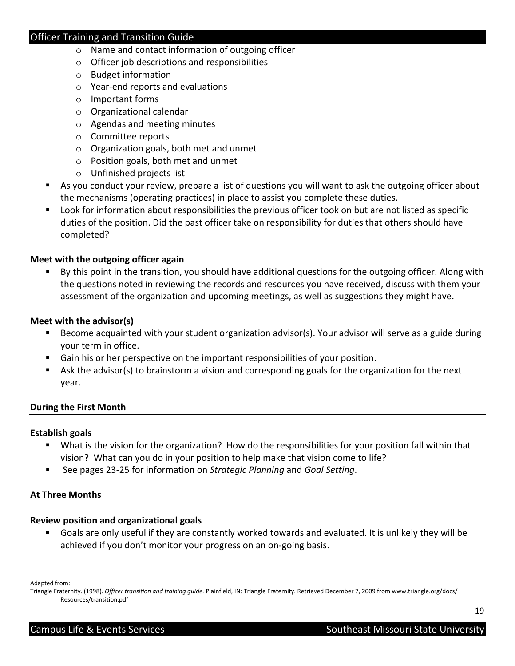- o Name and contact information of outgoing officer
- o Officer job descriptions and responsibilities
- o Budget information
- o Year-end reports and evaluations
- o Important forms
- o Organizational calendar
- o Agendas and meeting minutes
- o Committee reports
- o Organization goals, both met and unmet
- o Position goals, both met and unmet
- o Unfinished projects list
- As you conduct your review, prepare a list of questions you will want to ask the outgoing officer about the mechanisms (operating practices) in place to assist you complete these duties.
- **Look for information about responsibilities the previous officer took on but are not listed as specific**  duties of the position. Did the past officer take on responsibility for duties that others should have completed?

## Meet with the outgoing officer again

 By this point in the transition, you should have additional questions for the outgoing officer. Along with the questions noted in reviewing the records and resources you have received, discuss with them your assessment of the organization and upcoming meetings, as well as suggestions they might have.

## Meet with the advisor(s)

- Become acquainted with your student organization advisor(s). Your advisor will serve as a guide during your term in office.
- **Gain his or her perspective on the important responsibilities of your position.**
- Ask the advisor(s) to brainstorm a vision and corresponding goals for the organization for the next year.

#### During the First Month

#### Establish goals

- What is the vision for the organization? How do the responsibilities for your position fall within that vision? What can you do in your position to help make that vision come to life?
- See pages 23-25 for information on Strategic Planning and Goal Setting.

#### At Three Months

## Review position and organizational goals

 Goals are only useful if they are constantly worked towards and evaluated. It is unlikely they will be achieved if you don't monitor your progress on an on-going basis.

Adapted from:

Triangle Fraternity. (1998). Officer transition and training guide. [Plainfield, IN: Triangle Fraternity. Retrieved December 7, 2009 from www.triangle.org/docs/](https://Plainfield,IN:TriangleFraternity.RetrievedDecember7,2009fromwww.triangle.org/docs) Resources/transition.pdf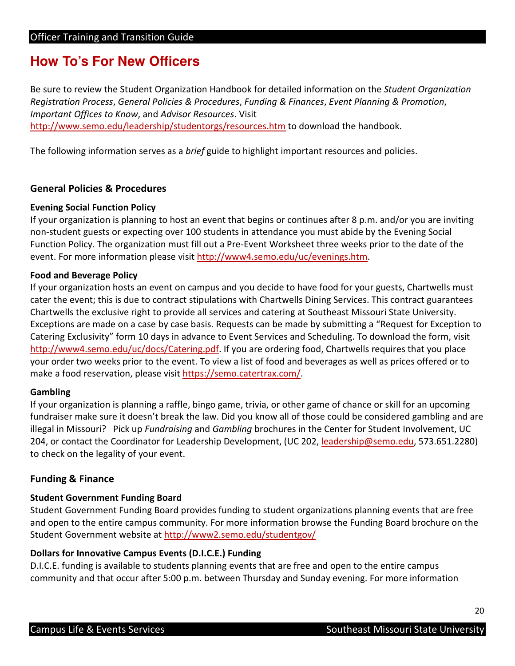# **How To's For New Officers**

Be sure to review the Student Organization Handbook for detailed information on the Student Organization Registration Process, General Policies & Procedures, Funding & Finances, Event Planning & Promotion, Important Offices to Know, and Advisor Resources. Visit [http://www.semo.edu/leadership/studentorgs/resources.htm](http://www.semo.edu/leadership/studentorgs/resources.htmtodownloadthehandbook) to download the handbook.

The following information serves as a brief guide to highlight important resources and policies.

# General Policies & Procedures

## Evening Social Function Policy

 If your organization is planning to host an event that begins or continues after 8 p.m. and/or you are inviting non-student guests or expecting over 100 students in attendance you must abide by the Evening Social Function Policy. The organization must fill out a Pre-Event Worksheet three weeks prior to the date of the event. For more information please visit [http://www4.semo.edu/uc/evenings.htm](https://visithttp://www4.semo.edu/uc/evenings.htm).

## Food and Beverage Policy

 If your organization hosts an event on campus and you decide to have food for your guests, Chartwells must cater the event; this is due to contract stipulations with Chartwells Dining Services. This contract guarantees Chartwells the exclusive right to provide all services and catering at Southeast Missouri State University. Exceptions are made on a case by case basis. Requests can be made by submitting a "Request for Exception to Catering Exclusivity" form 10 days in advance to Event Services and Scheduling. To download the form, visit [http://www4.semo.edu/uc/docs/Catering.pdf. If you](http://www4.semo.edu/uc/docs/Catering.pdf.Ifyou) are ordering food, Chartwells requires that you place your order two weeks prior to the event. To view a list of food and beverages as well as prices offered or to [make a food reservation, please visit](https://makeafoodreservation,pleasevisithttps://semo.catertrax.com) https://semo.catertrax.com/.

#### Gambling

 If your organization is planning a raffle, bingo game, trivia, or other game of chance or skill for an upcoming fundraiser make sure it doesn't break the law. Did you know all of those could be considered gambling and are illegal in Missouri? Pick up Fundraising and Gambling brochures in the Center for Student Involvement, UC 204, or contact the Coordinator for Leadership Development, (UC 202, leadership@semo.edu, 573.651.2280) to check on the legality of your event.

## Funding & Finance

## Student Government Funding Board

 Student Government Funding Board provides funding to student organizations planning events that are free and open to the entire campus community. For more information browse the Funding Board brochure on the Student Government website at [http://www2.semo.edu/studentgov/](https://StudentGovernmentwebsiteathttp://www2.semo.edu/studentgov)

#### Dollars for Innovative Campus Events (D.I.C.E.) Funding

 D.I.C.E. funding is available to students planning events that are free and open to the entire campus community and that occur after 5:00 p.m. between Thursday and Sunday evening. For more information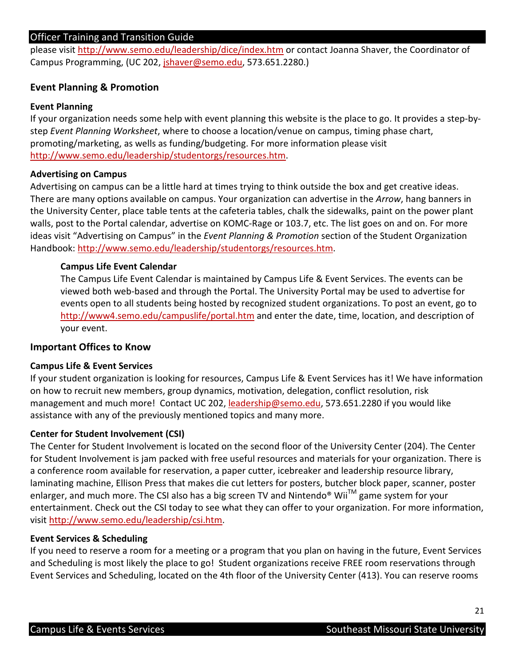please visit http://www.semo.edu/leadership/dice/index.htm or contact Joanna Shaver, the Coordinator of Campus Programming, (UC 202, *jshaver@semo.edu,* 573.651.2280.)

# Event Planning & Promotion

## Event Planning

 If your organization needs some help with event planning this website is the place to go. It provides a step-bystep Event Planning Worksheet, where to choose a location/venue on campus, timing phase chart, promoting/marketing, as wells as funding/budgeting. For more information please visit [http://www.semo.edu/leadership/studentorgs/resources.htm.](http://www.semo.edu/leadership/studentorgs/resources.htm)

## Advertising on Campus

 Advertising on campus can be a little hard at times trying to think outside the box and get creative ideas. There are many options available on campus. Your organization can advertise in the Arrow, hang banners in the University Center, place table tents at the cafeteria tables, chalk the sidewalks, paint on the power plant walls, post to the Portal calendar, advertise on KOMC-Rage or 103.7, etc. The list goes on and on. For more ideas visit "Advertising on Campus" in the Event Planning & Promotion section of the Student Organization Handbook: [http://www.semo.edu/leadership/studentorgs/resources.htm](https://Handbook:http://www.semo.edu/leadership/studentorgs/resources.htm).

### Campus Life Event Calendar

 The Campus Life Event Calendar is maintained by Campus Life & Event Services. The events can be viewed both web-based and through the Portal. The University Portal may be used to advertise for events open to all students being hosted by recognized student organizations. To post an event, go to http://www4.semo.edu/campuslife/portal.htm and enter the date, time, location, and description of your event.

# Important Offices to Know

#### Campus Life & Event Services

 If your student organization is looking for resources, Campus Life & Event Services has it! We have information on how to recruit new members, group dynamics, motivation, delegation, conflict resolution, risk management and much more! Contact UC 202, leadership@semo.edu, 573.651.2280 if you would like assistance with any of the previously mentioned topics and many more.

#### Center for Student Involvement (CSI)

 The Center for Student Involvement is located on the second floor of the University Center (204). The Center for Student Involvement is jam packed with free useful resources and materials for your organization. There is a conference room available for reservation, a paper cutter, icebreaker and leadership resource library, laminating machine, Ellison Press that makes die cut letters for posters, butcher block paper, scanner, poster enlarger, and much more. The CSI also has a big screen TV and Nintendo® Wii<sup>TM</sup> game system for your entertainment. Check out the CSI today to see what they can offer to your organization. For more information, visit<http://www.semo.edu/leadership/csi.htm>.

## Event Services & Scheduling

 If you need to reserve a room for a meeting or a program that you plan on having in the future, Event Services and Scheduling is most likely the place to go! Student organizations receive FREE room reservations through Event Services and Scheduling, located on the 4th floor of the University Center (413). You can reserve rooms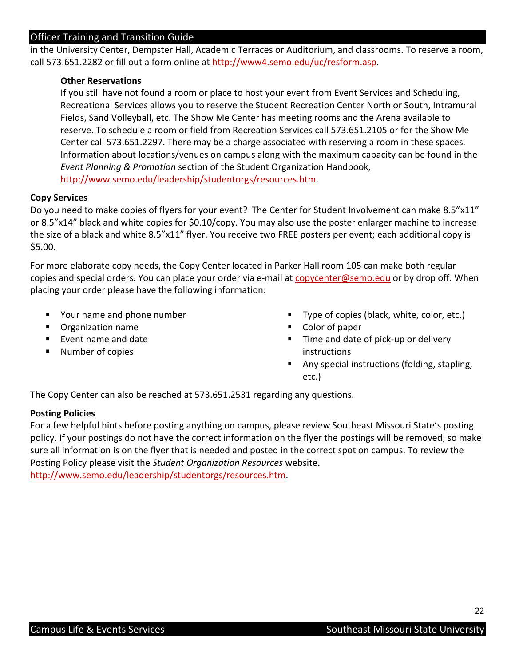in the University Center, Dempster Hall, Academic Terraces or Auditorium, and classrooms. To reserve a room, call 573.651.2282 or fill out a form online at [http://www4.semo.edu/uc/resform.asp.](https://athttp://www4.semo.edu/uc/resform.asp)

## Other Reservations

 If you still have not found a room or place to host your event from Event Services and Scheduling, Recreational Services allows you to reserve the Student Recreation Center North or South, Intramural Fields, Sand Volleyball, etc. The Show Me Center has meeting rooms and the Arena available to reserve. To schedule a room or field from Recreation Services call 573.651.2105 or for the Show Me Center call 573.651.2297. There may be a charge associated with reserving a room in these spaces. Information about locations/venues on campus along with the maximum capacity can be found in the Event Planning & Promotion section of the Student Organization Handbook, [http://www.semo.edu/leadership/studentorgs/resources.htm.](http://www.semo.edu/leadership/studentorgs/resources.htm)

## Copy Services

Do you need to make copies of flyers for your event? The Center for Student Involvement can make 8.5"x11" or 8.5"x14" black and white copies for \$0.10/copy. You may also use the poster enlarger machine to increase the size of a black and white 8.5"x11" flyer. You receive two FREE posters per event; each additional copy is \$5.00.

 For more elaborate copy needs, the Copy Center located in Parker Hall room 105 can make both regular copies and special orders. You can place your order via e-mail at **copycenter@semo.edu** or by drop off. When placing your order please have the following information:

- " Your name and phone number
- **Organization name Color of paper Color of paper**
- Event name and date
- Number of copies instructions
- Your name and phone number **Type of copies (black, white, color, etc.)** 
	- $\blacksquare$  Color of paper
- Event name and date **The and date of pick-up or delivery** 
	- **Any special instructions (folding, stapling,** etc.)

The Copy Center can also be reached at 573.651.2531 regarding any questions.

## Posting Policies

 For a few helpful hints before posting anything on campus, please review Southeast Missouri State's posting policy. If your postings do not have the correct information on the flyer the postings will be removed, so make sure all information is on the flyer that is needed and posted in the correct spot on campus. To review the Posting Policy please visit the Student Organization Resources website, [http://www.semo.edu/leadership/studentorgs/resources.htm.](http://www.semo.edu/leadership/studentorgs/resources.htm)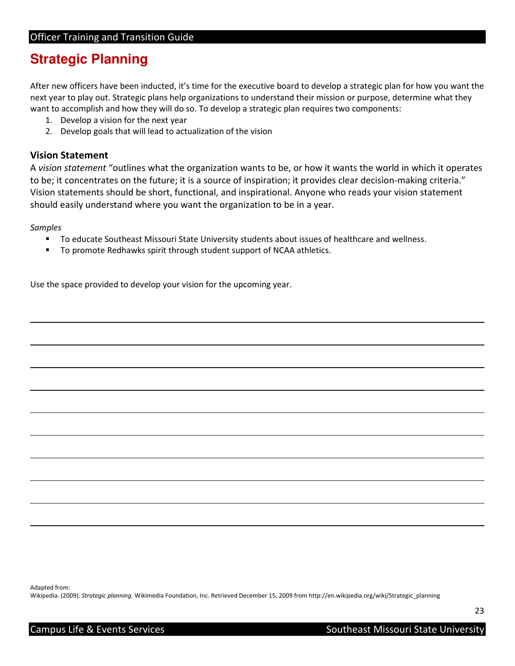# **Strategic Planning**

 After new officers have been inducted, it's time for the executive board to develop a strategic plan for how you want the next year to play out. Strategic plans help organizations to understand their mission or purpose, determine what they want to accomplish and how they will do so. To develop a strategic plan requires two components:

- 1. Develop a vision for the next year
- 2. Develop goals that will lead to actualization of the vision

# Vision Statement

A vision statement "outlines what the organization wants to be, or how it wants the world in which it operates to be; it concentrates on the future; it is a source of inspiration; it provides clear decision-making criteria." Vision statements should be short, functional, and inspirational. Anyone who reads your vision statement should easily understand where you want the organization to be in a year.

## Samples

l

- **T** To educate Southeast Missouri State University students about issues of healthcare and wellness.
- To promote Redhawks spirit through student support of NCAA athletics.

Use the space provided to develop your vision for the upcoming year.

 Adapted from: Wikipedia. (2009). Strategic planning. Wikimedia Foundation, Inc. Retrieved December 15, 2009 from [http://en.wikipedia.org/wiki/Strategic\\_planning](http://en.wikipedia.org/wiki/Strategic_planning)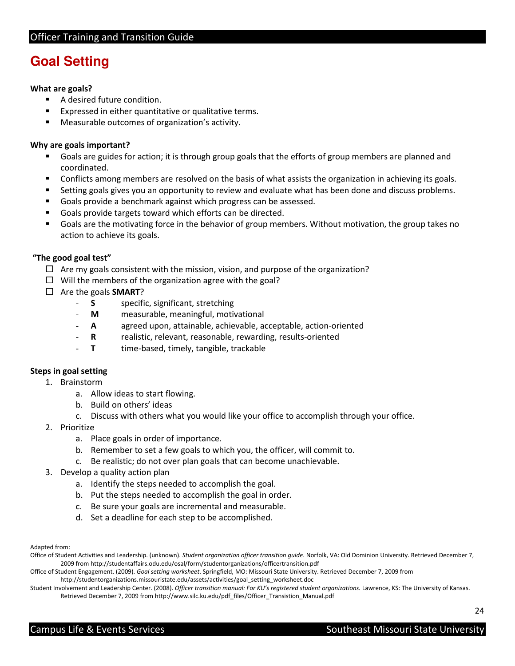# **Goal Setting**

#### What are goals?

- **A** desired future condition.
- **Expressed in either quantitative or qualitative terms.**
- **Measurable outcomes of organization's activity.**

### Why are goals important?

- Goals are guides for action; it is through group goals that the efforts of group members are planned and coordinated.
- Conflicts among members are resolved on the basis of what assists the organization in achieving its goals.
- **Setting goals gives you an opportunity to review and evaluate what has been done and discuss problems.**
- Goals provide a benchmark against which progress can be assessed.
- Goals provide targets toward which efforts can be directed.
- Goals are the motivating force in the behavior of group members. Without motivation, the group takes no action to achieve its goals.

#### "The good goal test"

- $\Box$  Are my goals consistent with the mission, vision, and purpose of the organization?
- $\Box$  Will the members of the organization agree with the goal?
- □ Are the goals **SMART**?
	- **S** specific, significant, stretching
	- **M** measurable, meaningful, motivational
	- **A** agreed upon, attainable, achievable, acceptable, action-oriented
	- R realistic, relevant, reasonable, rewarding, results-oriented
	- T time-based, timely, tangible, trackable

#### Steps in goal setting

- 1. Brainstorm
- 1. Brainstorm a. Allow ideas to start flowing.
	- b. Build on others' ideas
	- c. Discuss with others what you would like your office to accomplish through your office.
- 2. Prioritize
	- a. Place goals in order of importance.
	- b. Remember to set a few goals to which you, the officer, will commit to.
	- c. Be realistic; do not over plan goals that can become unachievable.
- 3. Develop a quality action plan
	- a. Identify the steps needed to accomplish the goal.
	- b. Put the steps needed to accomplish the goal in order.
	- c. Be sure your goals are incremental and measurable.
	- d. Set a deadline for each step to be accomplished.

#### Adapted from:

Office of Student Activities and Leadership. (unknown). Student organization officer transition guide. Norfolk, VA: Old Dominion University. Retrieved December 7, 2009 from <http://studentaffairs.odu.edu/osal/form/studentorganizations/officertransition.pdf>

Office of Student Engagement. (2009). Goal setting worksheet. Springfield, MO: Missouri State University. Retrieved December 7, 2009 from [http://studentorganizations.missouristate.edu/assets/activities/goal\\_setting\\_worksheet.doc](http://studentorganizations.missouristate.edu/assets/activities/goal_setting_worksheet.doc)

Student Involvement and Leadership Center. (2008). Officer transition manual: For KU's registered student organizations. Lawrence, KS: The University of Kansas. [Retrieved December 7, 2009 from http://www.silc.ku.edu/pdf\\_files/Officer\\_Transistion\\_Manual.pdf](https://RetrievedDecember7,2009fromhttp://www.silc.ku.edu/pdf_files/Officer_Transistion_Manual.pdf)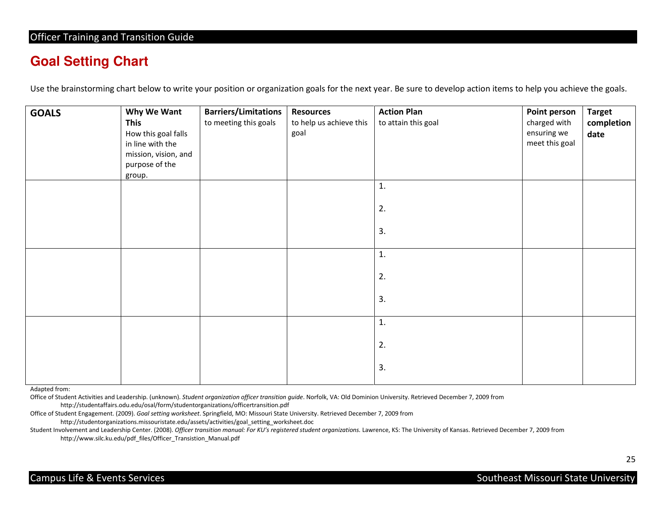# **Goal Setting Chart**

Use the brainstorming chart below to write your position or organization goals for the next year. Be sure to develop action items to help you achieve the goals.

| <b>GOALS</b> | Why We Want<br><b>This</b><br>How this goal falls<br>in line with the<br>mission, vision, and<br>purpose of the<br>group. | <b>Barriers/Limitations</b><br>to meeting this goals | <b>Resources</b><br>to help us achieve this<br>goal | <b>Action Plan</b><br>to attain this goal | <b>Point person</b><br>charged with<br>ensuring we<br>meet this goal | <b>Target</b><br>completion<br>date |
|--------------|---------------------------------------------------------------------------------------------------------------------------|------------------------------------------------------|-----------------------------------------------------|-------------------------------------------|----------------------------------------------------------------------|-------------------------------------|
|              |                                                                                                                           |                                                      |                                                     | 1.<br>2.<br>3.                            |                                                                      |                                     |
|              |                                                                                                                           |                                                      |                                                     | 1.<br>2.<br>3.                            |                                                                      |                                     |
|              |                                                                                                                           |                                                      |                                                     | 1.<br>2.<br>3.                            |                                                                      |                                     |

Adapted from:

Office of Student Activities and Leadership. (unknown). Student organization officer transition guide. Norfolk, VA: Old Dominion University. Retrieved December 7, 2009 from <http://studentaffairs.odu.edu/osal/form/studentorganizations/officertransition.pdf>

Office of Student Engagement. (2009). Goal setting worksheet. Springfield, MO: Missouri State University. Retrieved December 7, 2009 from

[http://studentorganizations.missouristate.edu/assets/activities/goal\\_setting\\_worksheet.doc](http://studentorganizations.missouristate.edu/assets/activities/goal_setting_worksheet.doc)

Student Involvement and Leadership Center. (2008). Officer transition manual: For KU's registered student organizations. Lawrence, KS: The University of Kansas. Retrieved December 7, 2009 from [http://www.silc.ku.edu/pdf\\_files/Officer\\_Transistion\\_Manual.pdf](http://www.silc.ku.edu/pdf_files/Officer_Transistion_Manual.pdf)

25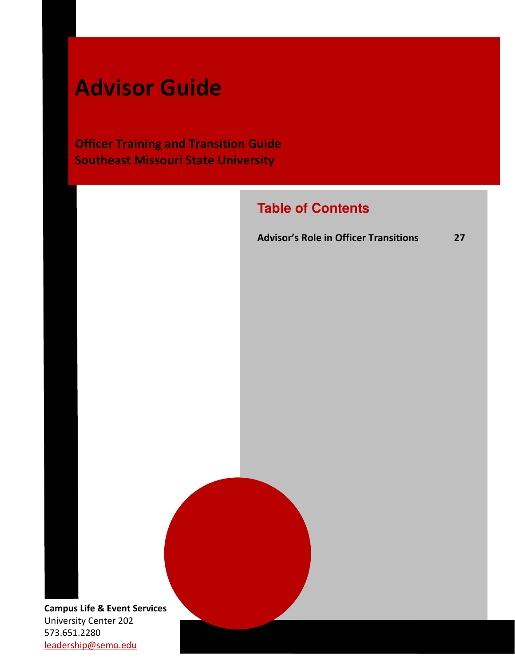# Advisor Guide

**Officer Training and Transition Guide** Southeast Missouri State University

# **Table of Contents**

Advisor's Role in Officer Transitions 27

Campus Life & Event Services University Center 202 573.651.2280 leadership@semo.edu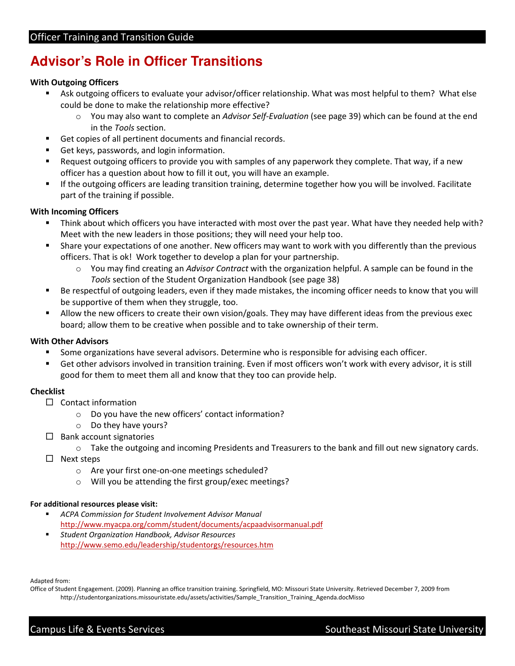# **Advisor's Role in Officer Transitions**

### With Outgoing Officers

- Ask outgoing officers to evaluate your advisor/officer relationship. What was most helpful to them? What else could be done to make the relationship more effective?
	- o You may also want to complete an Advisor Self-Evaluation (see page 39) which can be found at the end in the Tools section.
- Get copies of all pertinent documents and financial records.
- Get keys, passwords, and login information.
- Request outgoing officers to provide you with samples of any paperwork they complete. That way, if a new officer has a question about how to fill it out, you will have an example.
- If the outgoing officers are leading transition training, determine together how you will be involved. Facilitate part of the training if possible.

## With Incoming Officers

- Think about which officers you have interacted with most over the past year. What have they needed help with? Meet with the new leaders in those positions; they will need your help too.
- Share your expectations of one another. New officers may want to work with you differently than the previous officers. That is ok! Work together to develop a plan for your partnership.
	- o You may find creating an Advisor Contract with the organization helpful. A sample can be found in the Tools section of the Student Organization Handbook (see page 38)
- Be respectful of outgoing leaders, even if they made mistakes, the incoming officer needs to know that you will be supportive of them when they struggle, too.
- Allow the new officers to create their own vision/goals. They may have different ideas from the previous exec board; allow them to be creative when possible and to take ownership of their term.

#### With Other Advisors

- **Some organizations have several advisors. Determine who is responsible for advising each officer.**
- Get other advisors involved in transition training. Even if most officers won't work with every advisor, it is still good for them to meet them all and know that they too can provide help.

## Checklist

- □ Contact information
	- o Do you have the new officers' contact information?
	- o Do they have yours?
- □ Bank account signatories
	- o Take the outgoing and incoming Presidents and Treasurers to the bank and fill out new signatory cards.
- □ Next steps
	- o Are your first one-on-one meetings scheduled?
	- o Will you be attending the first group/exec meetings?

#### For additional resources please visit:

- **ACPA Commission for Student Involvement Advisor Manual** <http://www.myacpa.org/comm/student/documents/acpaadvisormanual.pdf>
- **Student Organization Handbook, Advisor Resources** <http://www.semo.edu/leadership/studentorgs/resources.htm>

Adapted from:

 Office of Student Engagement. (2009). Planning an office transition training. Springfield, MO: Missouri State University. Retrieved December 7, 2009 from [http://studentorganizations.missouristate.edu/assets/activities/Sample\\_Transition\\_Training\\_Agenda.docMisso](http://studentorganizations.missouristate.edu/assets/activities/Sample_Transition_Training_Agenda.docMisso)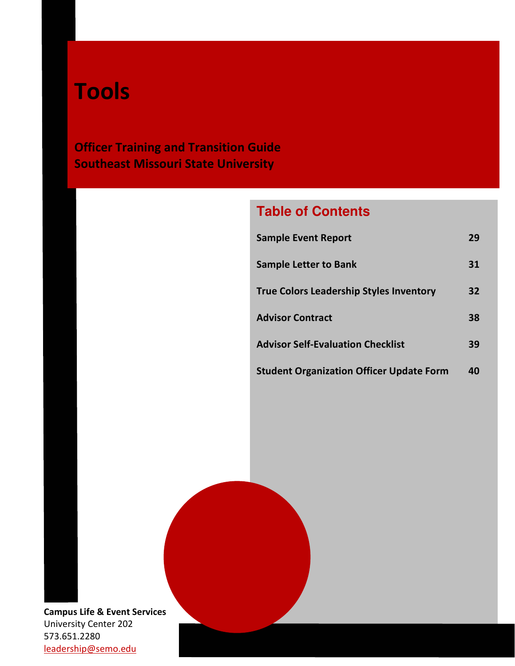# Tools

**Officer Training and Transition Guide** Southeast Missouri State University

# **Table of Contents**

| <b>Sample Event Report</b>                      | 29 |
|-------------------------------------------------|----|
| <b>Sample Letter to Bank</b>                    | 31 |
| <b>True Colors Leadership Styles Inventory</b>  | 32 |
| <b>Advisor Contract</b>                         | 38 |
| <b>Advisor Self-Evaluation Checklist</b>        | 39 |
| <b>Student Organization Officer Update Form</b> | 40 |

Campus Life & Event Services University Center 202 573.651.2280 leadership@semo.edu Center 202<br>200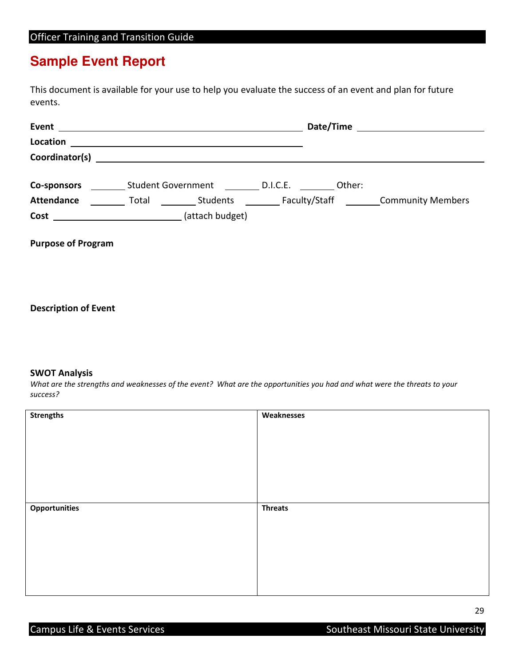# **Sample Event Report**

 This document is available for your use to help you evaluate the success of an event and plan for future events.

|                           | <b>Co-sponsors</b> Student Government D.I.C.E. Other:   |  |  |
|---------------------------|---------------------------------------------------------|--|--|
| <b>Attendance</b>         |                                                         |  |  |
|                           | Cost ___________________________________(attach budget) |  |  |
|                           |                                                         |  |  |
| <b>Purpose of Program</b> |                                                         |  |  |

Description of Event

#### SWOT Analysis

 What are the strengths and weaknesses of the event? What are the opportunities you had and what were the threats to your success?

| <b>Strengths</b>     | Weaknesses     |
|----------------------|----------------|
|                      |                |
|                      |                |
|                      |                |
|                      |                |
|                      |                |
|                      |                |
|                      |                |
|                      |                |
| <b>Opportunities</b> | <b>Threats</b> |
|                      |                |
|                      |                |
|                      |                |
|                      |                |
|                      |                |
|                      |                |
|                      |                |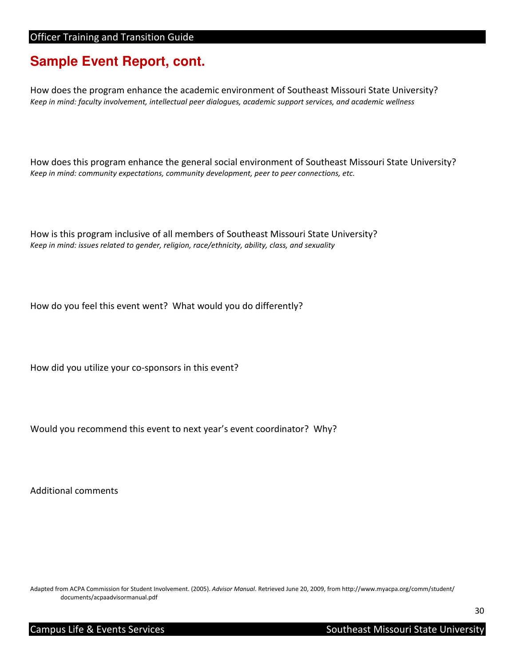# **Sample Event Report, cont.**

 How does the program enhance the academic environment of Southeast Missouri State University? Keep in mind: faculty involvement, intellectual peer dialogues, academic support services, and academic wellness

 How does this program enhance the general social environment of Southeast Missouri State University? Keep in mind: community expectations, community development, peer to peer connections, etc.

 How is this program inclusive of all members of Southeast Missouri State University? Keep in mind: issues related to gender, religion, race/ethnicity, ability, class, and sexuality

How do you feel this event went? What would you do differently?

How did you utilize your co-sponsors in this event?

Would you recommend this event to next year's event coordinator? Why?

Additional comments

Adapted from ACPA Commission for Student Involvement. (2005). Advisor Manual[. Retrieved June 20, 2009, from http://www.myacpa.org/comm/student/](https://Manual.RetrievedJune20,2009,fromhttp://www.myacpa.org/comm/student) documents/acpaadvisormanual.pdf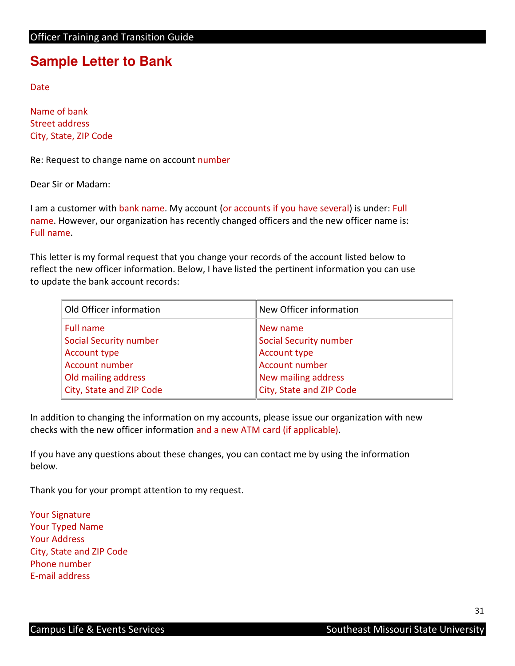# **Sample Letter to Bank**

Date

 Name of bank Street address City, State, ZIP Code

Re: Request to change name on account number

Dear Sir or Madam:

I am a customer with bank name. My account (or accounts if you have several) is under: Full name. However, our organization has recently changed officers and the new officer name is: Full name. Full name.<br>This letter is my formal request that you change your records of the account listed below to

 reflect the new officer information. Below, I have listed the pertinent information you can use to update the bank account records:

| Old Officer information       | New Officer information       |
|-------------------------------|-------------------------------|
| Full name                     | New name                      |
| <b>Social Security number</b> | <b>Social Security number</b> |
| Account type                  | <b>Account type</b>           |
| Account number                | Account number                |
| Old mailing address           | New mailing address           |
| City, State and ZIP Code      | City, State and ZIP Code      |

 In addition to changing the information on my accounts, please issue our organization with new checks with the new officer information and a new ATM card (if applicable).

 If you have any questions about these changes, you can contact me by using the information below.

Thank you for your prompt attention to my request.

 Your Signature Your Typed Name Your Address City, State and ZIP Code Phone number E-mail address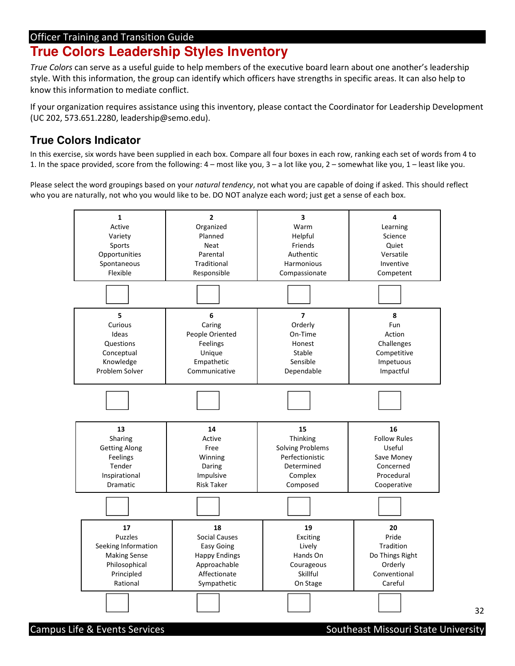# **True Colors Leadership Styles Inventory**

True Colors can serve as a useful guide to help members of the executive board learn about one another's leadership style. With this information, the group can identify which officers have strengths in specific areas. It can also help to know this information to mediate conflict.

 If your organization requires assistance using this inventory, please contact the Coordinator for Leadership Development [\(UC 202, 573.651.2280, leadership@semo.edu](mailto:UC202,573.651.2280,leadership@semo.edu)).

# **True Colors Indicator**

 In this exercise, six words have been supplied in each box. Compare all four boxes in each row, ranking each set of words from 4 to 1. In the space provided, score from the following: 4 – most like you, 3 – a lot like you, 2 – somewhat like you, 1 – least like you.

Please select the word groupings based on your natural tendency, not what you are capable of doing if asked. This should reflect who you are naturally, not who you would like to be. DO NOT analyze each word; just get a sense of each box.



32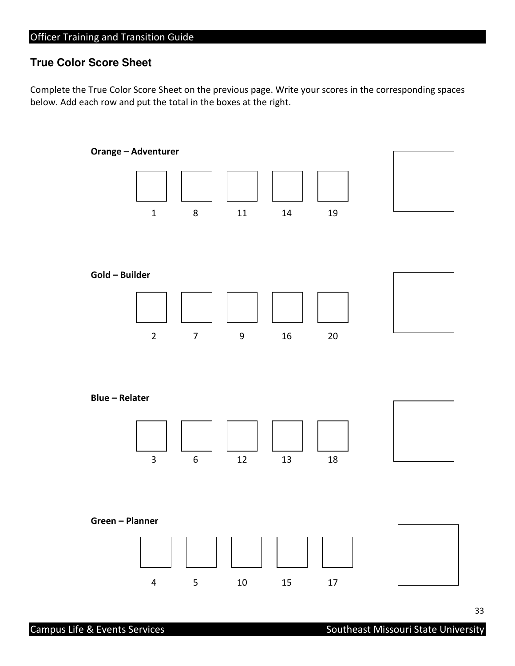# **True Color Score Sheet**

 Complete the True Color Score Sheet on the previous page. Write your scores in the corresponding spaces below. Add each row and put the total in the boxes at the right.

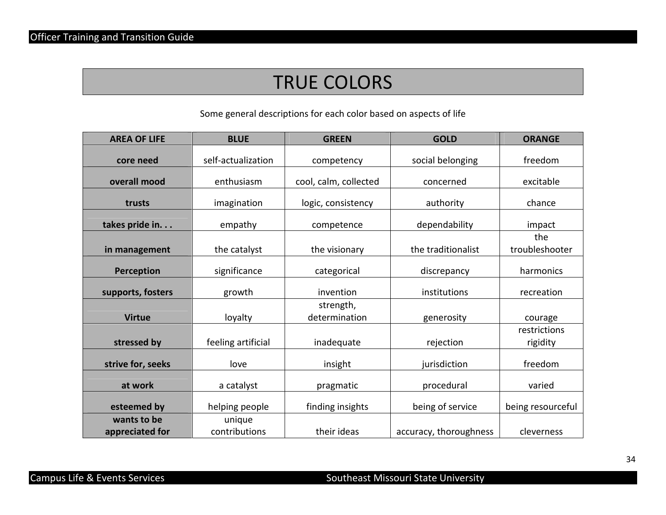# TRUE COLORS

Some general descriptions for each color based on aspects of life

| <b>AREA OF LIFE</b>            | <b>BLUE</b>             | <b>GREEN</b>               | <b>GOLD</b>            | <b>ORANGE</b>            |
|--------------------------------|-------------------------|----------------------------|------------------------|--------------------------|
| core need                      | self-actualization      | competency                 | social belonging       | freedom                  |
| overall mood                   | enthusiasm              | cool, calm, collected      | concerned              | excitable                |
| trusts                         | imagination             | logic, consistency         | authority              | chance                   |
| takes pride in.                | empathy                 | competence                 | dependability          | impact                   |
| in management                  | the catalyst            | the visionary              | the traditionalist     | the<br>troubleshooter    |
| Perception                     | significance            | categorical                | discrepancy            | harmonics                |
| supports, fosters              | growth                  | invention                  | institutions           | recreation               |
| <b>Virtue</b>                  | loyalty                 | strength,<br>determination | generosity             | courage                  |
| stressed by                    | feeling artificial      | inadequate                 | rejection              | restrictions<br>rigidity |
| strive for, seeks              | love                    | insight                    | jurisdiction           | freedom                  |
| at work                        | a catalyst              | pragmatic                  | procedural             | varied                   |
| esteemed by                    | helping people          | finding insights           | being of service       | being resourceful        |
| wants to be<br>appreciated for | unique<br>contributions | their ideas                | accuracy, thoroughness | cleverness               |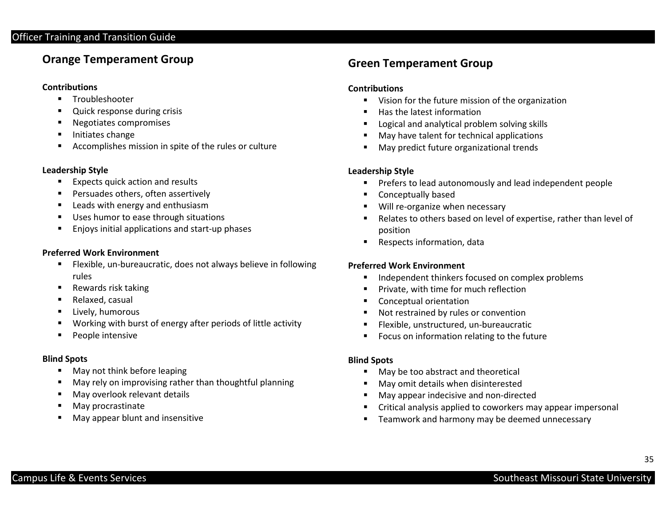# Orange Temperament Group

### **Contributions**

- **Troubleshooter**
- п Quick response during crisis
- $\blacksquare$ Negotiates compromises
- $\blacksquare$ Initiates change
- $\blacksquare$ Accomplishes mission in spite of the rules or culture

### Leadership Style

- $\blacksquare$ Expects quick action and results
- п Persuades others, often assertively
- $\blacksquare$ Leads with energy and enthusiasm
- $\blacksquare$ Uses humor to ease through situations
- п Enjoys initial applications and start-up phases

## Preferred Work Environment

- $\blacksquare$  Flexible, un-bureaucratic, does not always believe in following rules
- $\blacksquare$ Rewards risk taking
- П Relaxed, casual
- $\blacksquare$ Lively, humorous
- п Working with burst of energy after periods of little activity
- $\blacksquare$ People intensive

# Blind Spots

- $\blacksquare$ May not think before leaping
- п May rely on improvising rather than thoughtful planning
- $\blacksquare$ May overlook relevant details
- $\blacksquare$ May procrastinate
- $\blacksquare$ May appear blunt and insensitive

# Green Temperament Group

## **Contributions**

- Vision for the future mission of the organization
- Has the latest information
- Logical and analytical problem solving skills
- $\blacksquare$ May have talent for technical applications
- $\blacksquare$ May predict future organizational trends

# Leadership Style

- $\blacksquare$ Prefers to lead autonomously and lead independent people
- Conceptually based
- Will re-organize when necessary
- $\blacksquare$  Relates to others based on level of expertise, rather than level of position
- $\blacksquare$ Respects information, data

# Preferred Work Environment

- ٠, Independent thinkers focused on complex problems
- Private, with time for much reflection
- $\blacksquare$ Conceptual orientation
- Not restrained by rules or convention
- Flexible, unstructured, un-bureaucratic
- $\blacksquare$ Focus on information relating to the future

## Blind Spots

- May be too abstract and theoretical
- $\blacksquare$ May omit details when disinterested
- $\blacksquare$ May appear indecisive and non-directed
- Critical analysis applied to coworkers may appear impersonal
- ٠ Teamwork and harmony may be deemed unnecessary

35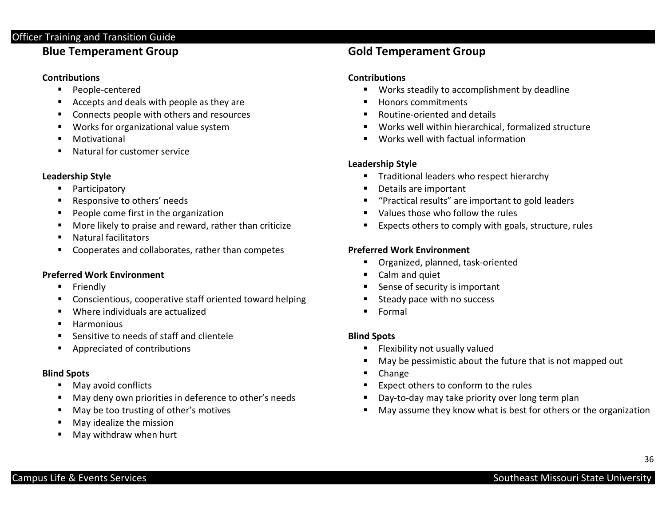# Blue Temperament Group

# **Contributions**

- **People-centered**
- $\blacksquare$ Accepts and deals with people as they are
- $\blacksquare$ Connects people with others and resources
- $\blacksquare$ Works for organizational value system
- $\blacksquare$ Motivational
- $\blacksquare$ Natural for customer service

# Leadership Style

- $\blacksquare$ Participatory
- Responsive to others' needs
- ٠ People come first in the organization
- Е More likely to praise and reward, rather than criticize
- $\blacksquare$ Natural facilitators
- $\blacksquare$ Cooperates and collaborates, rather than competes

# Preferred Work Environment

- $\blacksquare$ Friendly
- $\blacksquare$ Conscientious, cooperative staff oriented toward helping
- $\blacksquare$ Where individuals are actualized
- в **Harmonious**
- $\blacksquare$ Sensitive to needs of staff and clientele
- $\blacksquare$ Appreciated of contributions

# Blind Spots

- п May avoid conflicts
- $\blacksquare$ May deny own priorities in deference to other's needs
- п May be too trusting of other's motives
- $\blacksquare$ May idealize the mission
- п May withdraw when hurt

# Gold Temperament Group

# **Contributions**

- Works steadily to accomplishment by deadline
- Honors commitments
- $\blacksquare$ Routine-oriented and details
- Works well within hierarchical, formalized structure
- Works well with factual information

# Leadership Style

- **Traditional leaders who respect hierarchy**
- Details are important
- "Practical results" are important to gold leaders
- Values those who follow the rules
- Expects others to comply with goals, structure, rules

# Preferred Work Environment

- Organized, planned, task-oriented
- **Calm and quiet**
- Sense of security is important
- $\blacksquare$ Steady pace with no success
- Formal

# Blind Spots

- $\blacksquare$ Flexibility not usually valued
- May be pessimistic about the future that is not mapped out
- $\mathbf{E}^{\text{max}}$ Change
- Expect others to conform to the rules
- $\blacksquare$ Day-to-day may take priority over long term plan
- $\blacksquare$ May assume they know what is best for others or the organization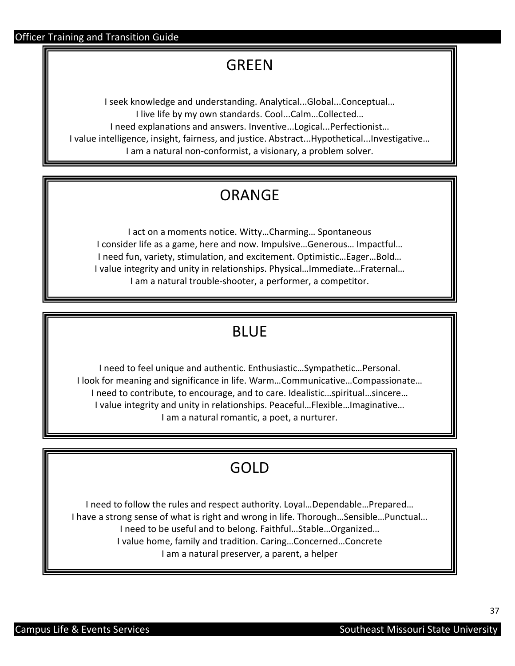# GREEN

 I seek knowledge and understanding. Analytical...Global...Conceptual… I live life by my own standards. Cool...Calm…Collected… I need explanations and answers. Inventive...Logical...Perfectionist… I value intelligence, insight, fairness, and justice. Abstract...Hypothetical...Investigative… I am a natural non-conformist, a visionary, a problem solver.

# ORANGE

 I act on a moments notice. Witty…Charming… Spontaneous I consider life as a game, here and now. Impulsive…Generous… Impactful… I need fun, variety, stimulation, and excitement. Optimistic…Eager…Bold… I value integrity and unity in relationships. Physical…Immediate…Fraternal… I am a natural trouble-shooter, a performer, a competitor.

# BLUE

 I need to feel unique and authentic. Enthusiastic…Sympathetic…Personal. I look for meaning and significance in life. Warm…Communicative…Compassionate… I need to contribute, to encourage, and to care. Idealistic…spiritual…sincere… I value integrity and unity in relationships. Peaceful…Flexible…Imaginative… I am a natural romantic, a poet, a nurturer.

# GOLD

 I need to follow the rules and respect authority. Loyal…Dependable…Prepared… I have a strong sense of what is right and wrong in life. Thorough…Sensible…Punctual… I need to be useful and to belong. Faithful…Stable…Organized… I value home, family and tradition. Caring…Concerned…Concrete I am a natural preserver, a parent, a helper

37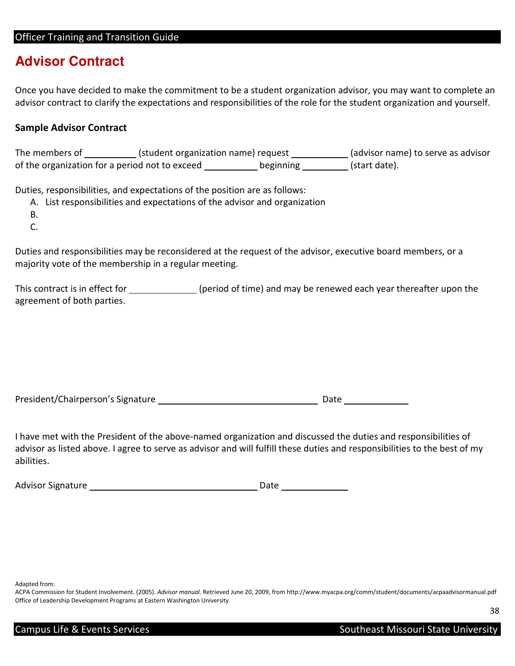# **Advisor Contract**

 Once you have decided to make the commitment to be a student organization advisor, you may want to complete an advisor contract to clarify the expectations and responsibilities of the role for the student organization and yourself.

# Sample Advisor Contract

 $\ddot{\phantom{0}}$ The members of \_\_\_\_\_\_\_\_\_\_\_(student organization name) request \_\_\_\_\_\_\_\_\_\_\_\_(advisor name) to serve as advisor of the organization for a period not to exceed \_\_\_\_\_\_\_\_\_\_\_\_ beginning \_\_\_\_\_\_\_\_\_\_ (start date).

Duties, responsibilities, and expectations of the position are as follows:

- A. List responsibilities and expectations of the advisor and organization
- B.
- C.

 Duties and responsibilities may be reconsidered at the request of the advisor, executive board members, or a majority vote of the membership in a regular meeting.

This contract is in effect for \_\_\_\_\_\_\_\_\_\_\_\_\_\_(period of time) and may be renewed each year thereafter upon the agreement of both parties.

| President/Chairperson's Signature |  | Date |
|-----------------------------------|--|------|
|-----------------------------------|--|------|

 I have met with the President of the above-named organization and discussed the duties and responsibilities of advisor as listed above. I agree to serve as advisor and will fulfill these duties and responsibilities to the best of my abilities.

| <b>Advisor Signature</b> | Date |
|--------------------------|------|
|--------------------------|------|

Adapted from:

ACPA Commission for Student Involvement. (2005). Advisor manual[. Retrieved June 20, 2009, from http://www.myacpa.org/comm/student/documents/acpaadvisormanual.pdf](https://manual.RetrievedJune20,2009,fromhttp://www.myacpa.org/comm/student/documents/acpaadvisormanual.pdf) Office of Leadership Development Programs at Eastern Washington University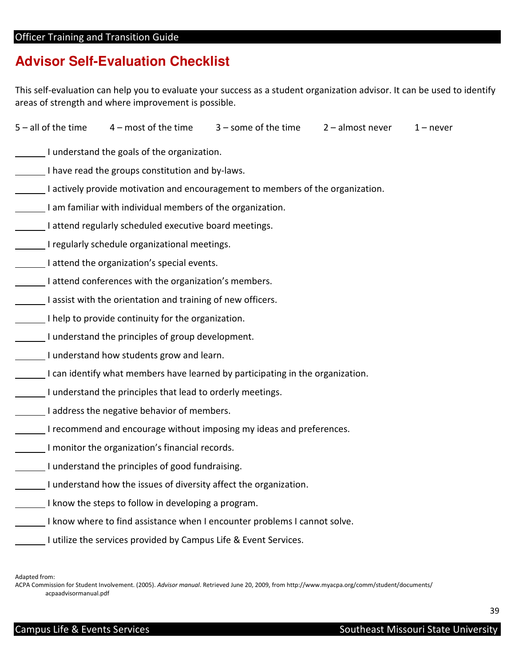# **Advisor Self-Evaluation Checklist**

This self-evaluation can help you to evaluate your success as a student organization advisor. It can be used to identify areas of strength and where improvement is possible.

|                                                                                 |                                                                  | $5$ – all of the time $4$ – most of the time $3$ – some of the time $2$ – almost never $1$ – never |  |  |  |  |
|---------------------------------------------------------------------------------|------------------------------------------------------------------|----------------------------------------------------------------------------------------------------|--|--|--|--|
| I understand the goals of the organization.                                     |                                                                  |                                                                                                    |  |  |  |  |
| I have read the groups constitution and by-laws.                                |                                                                  |                                                                                                    |  |  |  |  |
| I actively provide motivation and encouragement to members of the organization. |                                                                  |                                                                                                    |  |  |  |  |
| I am familiar with individual members of the organization.                      |                                                                  |                                                                                                    |  |  |  |  |
| I attend regularly scheduled executive board meetings.                          |                                                                  |                                                                                                    |  |  |  |  |
| I regularly schedule organizational meetings.                                   |                                                                  |                                                                                                    |  |  |  |  |
| I attend the organization's special events.                                     |                                                                  |                                                                                                    |  |  |  |  |
| I attend conferences with the organization's members.                           |                                                                  |                                                                                                    |  |  |  |  |
| I assist with the orientation and training of new officers.                     |                                                                  |                                                                                                    |  |  |  |  |
| I help to provide continuity for the organization.                              |                                                                  |                                                                                                    |  |  |  |  |
| I understand the principles of group development.                               |                                                                  |                                                                                                    |  |  |  |  |
| I understand how students grow and learn.                                       |                                                                  |                                                                                                    |  |  |  |  |
| I can identify what members have learned by participating in the organization.  |                                                                  |                                                                                                    |  |  |  |  |
| I understand the principles that lead to orderly meetings.                      |                                                                  |                                                                                                    |  |  |  |  |
| I address the negative behavior of members.                                     |                                                                  |                                                                                                    |  |  |  |  |
| I recommend and encourage without imposing my ideas and preferences.            |                                                                  |                                                                                                    |  |  |  |  |
| I monitor the organization's financial records.                                 |                                                                  |                                                                                                    |  |  |  |  |
| I understand the principles of good fundraising.                                |                                                                  |                                                                                                    |  |  |  |  |
| I understand how the issues of diversity affect the organization.               |                                                                  |                                                                                                    |  |  |  |  |
| I know the steps to follow in developing a program.                             |                                                                  |                                                                                                    |  |  |  |  |
| I know where to find assistance when I encounter problems I cannot solve.       |                                                                  |                                                                                                    |  |  |  |  |
|                                                                                 | I utilize the services provided by Campus Life & Event Services. |                                                                                                    |  |  |  |  |

Adapted from:

Adapted from:<br>ACPA Commission for Student Involvement. (2005)*. Advisor manual.* Retrieved June 20, 2009, from http://www.myacpa.org/comm/student/documents/ acpaadvisormanual.pdf

39